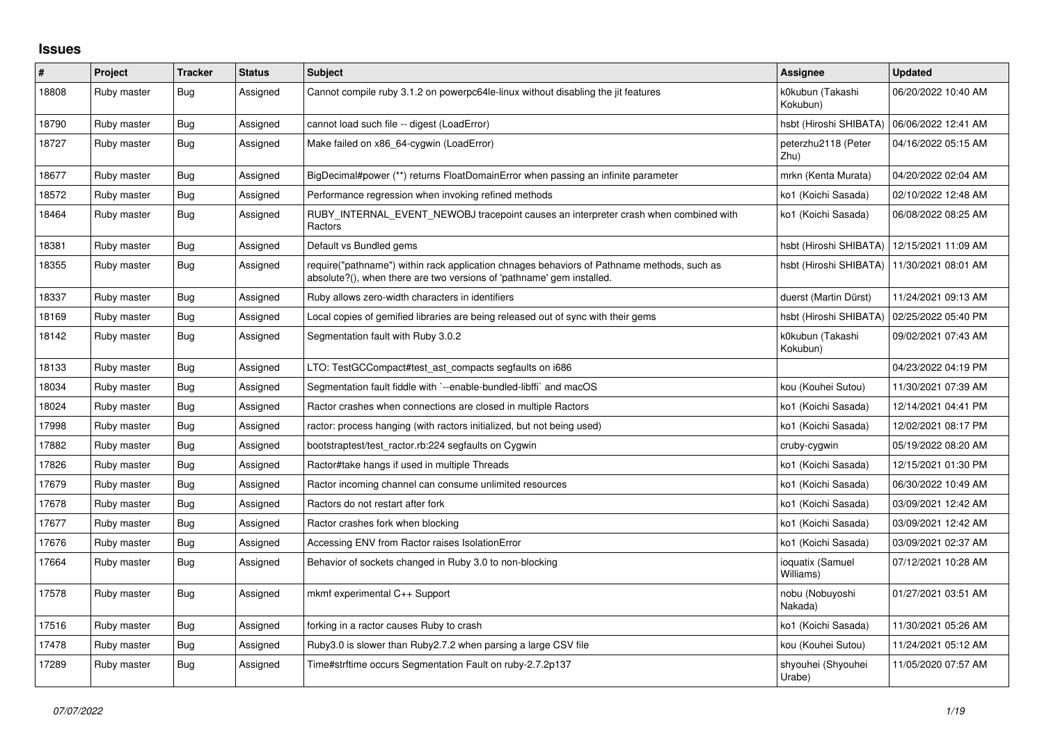## **Issues**

| $\vert$ # | Project     | <b>Tracker</b> | <b>Status</b> | <b>Subject</b>                                                                                                                                                      | Assignee                      | <b>Updated</b>      |
|-----------|-------------|----------------|---------------|---------------------------------------------------------------------------------------------------------------------------------------------------------------------|-------------------------------|---------------------|
| 18808     | Ruby master | <b>Bug</b>     | Assigned      | Cannot compile ruby 3.1.2 on powerpc64le-linux without disabling the jit features                                                                                   | k0kubun (Takashi<br>Kokubun)  | 06/20/2022 10:40 AM |
| 18790     | Ruby master | Bug            | Assigned      | cannot load such file -- digest (LoadError)                                                                                                                         | hsbt (Hiroshi SHIBATA)        | 06/06/2022 12:41 AM |
| 18727     | Ruby master | <b>Bug</b>     | Assigned      | Make failed on x86 64-cygwin (LoadError)                                                                                                                            | peterzhu2118 (Peter<br>Zhu)   | 04/16/2022 05:15 AM |
| 18677     | Ruby master | Bug            | Assigned      | BigDecimal#power (**) returns FloatDomainError when passing an infinite parameter                                                                                   | mrkn (Kenta Murata)           | 04/20/2022 02:04 AM |
| 18572     | Ruby master | Bug            | Assigned      | Performance regression when invoking refined methods                                                                                                                | ko1 (Koichi Sasada)           | 02/10/2022 12:48 AM |
| 18464     | Ruby master | <b>Bug</b>     | Assigned      | RUBY_INTERNAL_EVENT_NEWOBJ tracepoint causes an interpreter crash when combined with<br>Ractors                                                                     | ko1 (Koichi Sasada)           | 06/08/2022 08:25 AM |
| 18381     | Ruby master | Bug            | Assigned      | Default vs Bundled gems                                                                                                                                             | hsbt (Hiroshi SHIBATA)        | 12/15/2021 11:09 AM |
| 18355     | Ruby master | Bug            | Assigned      | require("pathname") within rack application chnages behaviors of Pathname methods, such as<br>absolute?(), when there are two versions of 'pathname' gem installed. | hsbt (Hiroshi SHIBATA)        | 11/30/2021 08:01 AM |
| 18337     | Ruby master | Bug            | Assigned      | Ruby allows zero-width characters in identifiers                                                                                                                    | duerst (Martin Dürst)         | 11/24/2021 09:13 AM |
| 18169     | Ruby master | Bug            | Assigned      | Local copies of gemified libraries are being released out of sync with their gems                                                                                   | hsbt (Hiroshi SHIBATA)        | 02/25/2022 05:40 PM |
| 18142     | Ruby master | Bug            | Assigned      | Segmentation fault with Ruby 3.0.2                                                                                                                                  | k0kubun (Takashi<br>Kokubun)  | 09/02/2021 07:43 AM |
| 18133     | Ruby master | Bug            | Assigned      | LTO: TestGCCompact#test_ast_compacts segfaults on i686                                                                                                              |                               | 04/23/2022 04:19 PM |
| 18034     | Ruby master | Bug            | Assigned      | Segmentation fault fiddle with `--enable-bundled-libffi` and macOS                                                                                                  | kou (Kouhei Sutou)            | 11/30/2021 07:39 AM |
| 18024     | Ruby master | Bug            | Assigned      | Ractor crashes when connections are closed in multiple Ractors                                                                                                      | ko1 (Koichi Sasada)           | 12/14/2021 04:41 PM |
| 17998     | Ruby master | <b>Bug</b>     | Assigned      | ractor: process hanging (with ractors initialized, but not being used)                                                                                              | ko1 (Koichi Sasada)           | 12/02/2021 08:17 PM |
| 17882     | Ruby master | Bug            | Assigned      | bootstraptest/test_ractor.rb:224 segfaults on Cygwin                                                                                                                | cruby-cygwin                  | 05/19/2022 08:20 AM |
| 17826     | Ruby master | <b>Bug</b>     | Assigned      | Ractor#take hangs if used in multiple Threads                                                                                                                       | ko1 (Koichi Sasada)           | 12/15/2021 01:30 PM |
| 17679     | Ruby master | Bug            | Assigned      | Ractor incoming channel can consume unlimited resources                                                                                                             | ko1 (Koichi Sasada)           | 06/30/2022 10:49 AM |
| 17678     | Ruby master | Bug            | Assigned      | Ractors do not restart after fork                                                                                                                                   | ko1 (Koichi Sasada)           | 03/09/2021 12:42 AM |
| 17677     | Ruby master | Bug            | Assigned      | Ractor crashes fork when blocking                                                                                                                                   | ko1 (Koichi Sasada)           | 03/09/2021 12:42 AM |
| 17676     | Ruby master | Bug            | Assigned      | Accessing ENV from Ractor raises IsolationError                                                                                                                     | ko1 (Koichi Sasada)           | 03/09/2021 02:37 AM |
| 17664     | Ruby master | <b>Bug</b>     | Assigned      | Behavior of sockets changed in Ruby 3.0 to non-blocking                                                                                                             | ioquatix (Samuel<br>Williams) | 07/12/2021 10:28 AM |
| 17578     | Ruby master | <b>Bug</b>     | Assigned      | mkmf experimental C++ Support                                                                                                                                       | nobu (Nobuyoshi<br>Nakada)    | 01/27/2021 03:51 AM |
| 17516     | Ruby master | <b>Bug</b>     | Assigned      | forking in a ractor causes Ruby to crash                                                                                                                            | ko1 (Koichi Sasada)           | 11/30/2021 05:26 AM |
| 17478     | Ruby master | Bug            | Assigned      | Ruby3.0 is slower than Ruby2.7.2 when parsing a large CSV file                                                                                                      | kou (Kouhei Sutou)            | 11/24/2021 05:12 AM |
| 17289     | Ruby master | <b>Bug</b>     | Assigned      | Time#strftime occurs Segmentation Fault on ruby-2.7.2p137                                                                                                           | shyouhei (Shyouhei<br>Urabe)  | 11/05/2020 07:57 AM |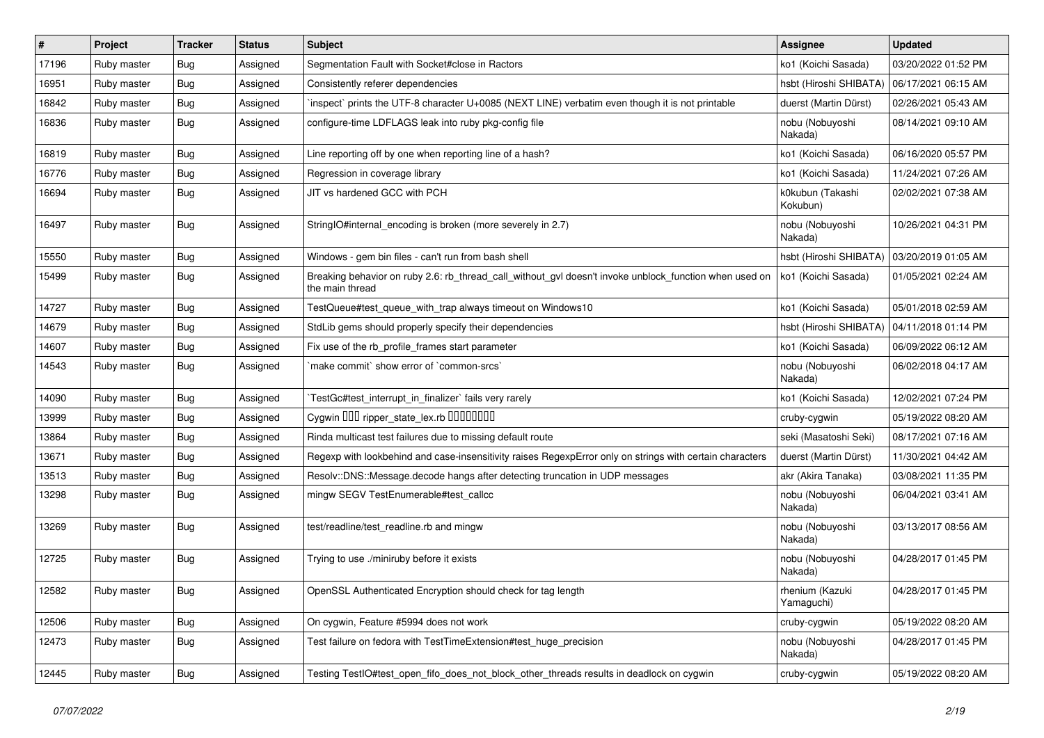| $\vert$ # | Project     | <b>Tracker</b> | <b>Status</b> | <b>Subject</b>                                                                                                            | <b>Assignee</b>               | <b>Updated</b>      |
|-----------|-------------|----------------|---------------|---------------------------------------------------------------------------------------------------------------------------|-------------------------------|---------------------|
| 17196     | Ruby master | Bug            | Assigned      | Segmentation Fault with Socket#close in Ractors                                                                           | ko1 (Koichi Sasada)           | 03/20/2022 01:52 PM |
| 16951     | Ruby master | <b>Bug</b>     | Assigned      | Consistently referer dependencies                                                                                         | hsbt (Hiroshi SHIBATA)        | 06/17/2021 06:15 AM |
| 16842     | Ruby master | <b>Bug</b>     | Assigned      | inspect` prints the UTF-8 character U+0085 (NEXT LINE) verbatim even though it is not printable                           | duerst (Martin Dürst)         | 02/26/2021 05:43 AM |
| 16836     | Ruby master | <b>Bug</b>     | Assigned      | configure-time LDFLAGS leak into ruby pkg-config file                                                                     | nobu (Nobuyoshi<br>Nakada)    | 08/14/2021 09:10 AM |
| 16819     | Ruby master | <b>Bug</b>     | Assigned      | Line reporting off by one when reporting line of a hash?                                                                  | ko1 (Koichi Sasada)           | 06/16/2020 05:57 PM |
| 16776     | Ruby master | <b>Bug</b>     | Assigned      | Regression in coverage library                                                                                            | ko1 (Koichi Sasada)           | 11/24/2021 07:26 AM |
| 16694     | Ruby master | Bug            | Assigned      | JIT vs hardened GCC with PCH                                                                                              | k0kubun (Takashi<br>Kokubun)  | 02/02/2021 07:38 AM |
| 16497     | Ruby master | Bug            | Assigned      | StringIO#internal encoding is broken (more severely in 2.7)                                                               | nobu (Nobuyoshi<br>Nakada)    | 10/26/2021 04:31 PM |
| 15550     | Ruby master | <b>Bug</b>     | Assigned      | Windows - gem bin files - can't run from bash shell                                                                       | hsbt (Hiroshi SHIBATA)        | 03/20/2019 01:05 AM |
| 15499     | Ruby master | <b>Bug</b>     | Assigned      | Breaking behavior on ruby 2.6: rb_thread_call_without_gvl doesn't invoke unblock_function when used on<br>the main thread | ko1 (Koichi Sasada)           | 01/05/2021 02:24 AM |
| 14727     | Ruby master | <b>Bug</b>     | Assigned      | TestQueue#test_queue_with_trap always timeout on Windows10                                                                | ko1 (Koichi Sasada)           | 05/01/2018 02:59 AM |
| 14679     | Ruby master | Bug            | Assigned      | StdLib gems should properly specify their dependencies                                                                    | hsbt (Hiroshi SHIBATA)        | 04/11/2018 01:14 PM |
| 14607     | Ruby master | <b>Bug</b>     | Assigned      | Fix use of the rb_profile_frames start parameter                                                                          | ko1 (Koichi Sasada)           | 06/09/2022 06:12 AM |
| 14543     | Ruby master | <b>Bug</b>     | Assigned      | make commit` show error of `common-srcs`                                                                                  | nobu (Nobuyoshi<br>Nakada)    | 06/02/2018 04:17 AM |
| 14090     | Ruby master | Bug            | Assigned      | TestGc#test interrupt in finalizer` fails very rarely                                                                     | ko1 (Koichi Sasada)           | 12/02/2021 07:24 PM |
| 13999     | Ruby master | Bug            | Assigned      | Cygwin DDD ripper_state_lex.rb DDDDDDD                                                                                    | cruby-cygwin                  | 05/19/2022 08:20 AM |
| 13864     | Ruby master | <b>Bug</b>     | Assigned      | Rinda multicast test failures due to missing default route                                                                | seki (Masatoshi Seki)         | 08/17/2021 07:16 AM |
| 13671     | Ruby master | Bug            | Assigned      | Regexp with lookbehind and case-insensitivity raises RegexpError only on strings with certain characters                  | duerst (Martin Dürst)         | 11/30/2021 04:42 AM |
| 13513     | Ruby master | Bug            | Assigned      | Resolv::DNS::Message.decode hangs after detecting truncation in UDP messages                                              | akr (Akira Tanaka)            | 03/08/2021 11:35 PM |
| 13298     | Ruby master | <b>Bug</b>     | Assigned      | mingw SEGV TestEnumerable#test callcc                                                                                     | nobu (Nobuyoshi<br>Nakada)    | 06/04/2021 03:41 AM |
| 13269     | Ruby master | <b>Bug</b>     | Assigned      | test/readline/test_readline.rb and mingw                                                                                  | nobu (Nobuyoshi<br>Nakada)    | 03/13/2017 08:56 AM |
| 12725     | Ruby master | <b>Bug</b>     | Assigned      | Trying to use ./miniruby before it exists                                                                                 | nobu (Nobuyoshi<br>Nakada)    | 04/28/2017 01:45 PM |
| 12582     | Ruby master | <b>Bug</b>     | Assigned      | OpenSSL Authenticated Encryption should check for tag length                                                              | rhenium (Kazuki<br>Yamaguchi) | 04/28/2017 01:45 PM |
| 12506     | Ruby master | Bug            | Assigned      | On cygwin, Feature #5994 does not work                                                                                    | cruby-cygwin                  | 05/19/2022 08:20 AM |
| 12473     | Ruby master | Bug            | Assigned      | Test failure on fedora with TestTimeExtension#test huge precision                                                         | nobu (Nobuyoshi<br>Nakada)    | 04/28/2017 01:45 PM |
| 12445     | Ruby master | Bug            | Assigned      | Testing TestIO#test open fifo does not block other threads results in deadlock on cygwin                                  | cruby-cygwin                  | 05/19/2022 08:20 AM |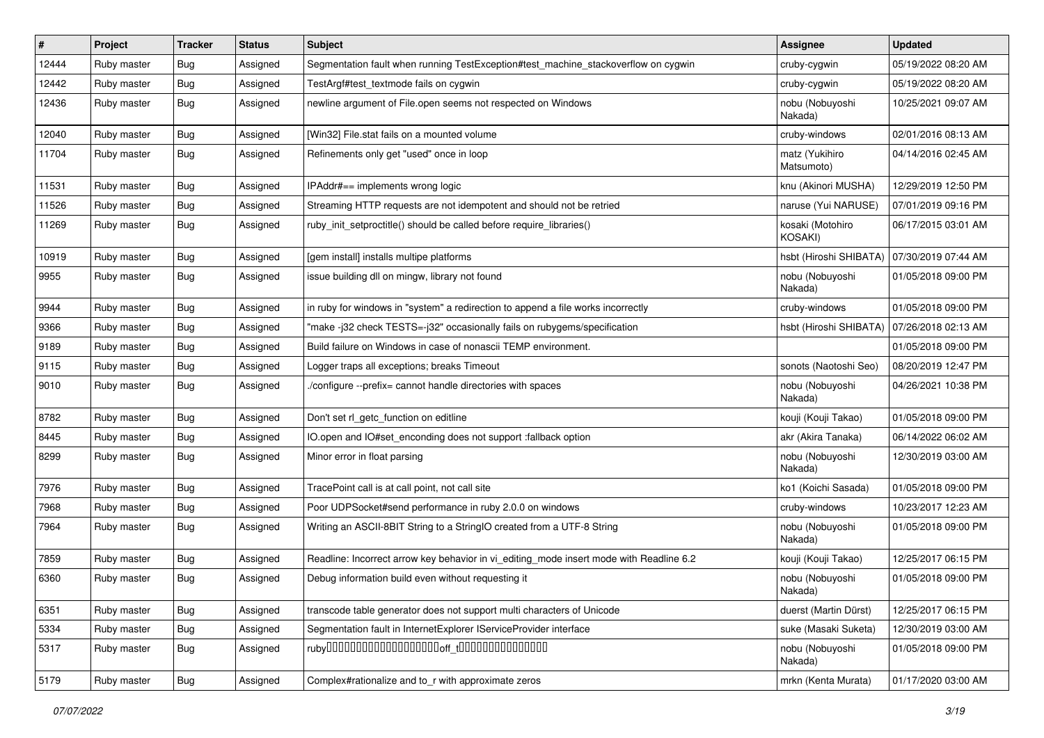| $\vert$ # | Project     | <b>Tracker</b> | <b>Status</b> | <b>Subject</b>                                                                          | <b>Assignee</b>                    | <b>Updated</b>      |
|-----------|-------------|----------------|---------------|-----------------------------------------------------------------------------------------|------------------------------------|---------------------|
| 12444     | Ruby master | <b>Bug</b>     | Assigned      | Segmentation fault when running TestException#test machine stackoverflow on cygwin      | cruby-cygwin                       | 05/19/2022 08:20 AM |
| 12442     | Ruby master | <b>Bug</b>     | Assigned      | TestArgf#test_textmode fails on cygwin                                                  | cruby-cygwin                       | 05/19/2022 08:20 AM |
| 12436     | Ruby master | <b>Bug</b>     | Assigned      | newline argument of File.open seems not respected on Windows                            | nobu (Nobuyoshi<br>Nakada)         | 10/25/2021 09:07 AM |
| 12040     | Ruby master | Bug            | Assigned      | [Win32] File.stat fails on a mounted volume                                             | cruby-windows                      | 02/01/2016 08:13 AM |
| 11704     | Ruby master | <b>Bug</b>     | Assigned      | Refinements only get "used" once in loop                                                | matz (Yukihiro<br>Matsumoto)       | 04/14/2016 02:45 AM |
| 11531     | Ruby master | Bug            | Assigned      | IPAddr#== implements wrong logic                                                        | knu (Akinori MUSHA)                | 12/29/2019 12:50 PM |
| 11526     | Ruby master | <b>Bug</b>     | Assigned      | Streaming HTTP requests are not idempotent and should not be retried                    | naruse (Yui NARUSE)                | 07/01/2019 09:16 PM |
| 11269     | Ruby master | <b>Bug</b>     | Assigned      | ruby_init_setproctitle() should be called before require_libraries()                    | kosaki (Motohiro<br><b>KOSAKI)</b> | 06/17/2015 03:01 AM |
| 10919     | Ruby master | Bug            | Assigned      | [gem install] installs multipe platforms                                                | hsbt (Hiroshi SHIBATA)             | 07/30/2019 07:44 AM |
| 9955      | Ruby master | <b>Bug</b>     | Assigned      | issue building dll on mingw, library not found                                          | nobu (Nobuyoshi<br>Nakada)         | 01/05/2018 09:00 PM |
| 9944      | Ruby master | Bug            | Assigned      | in ruby for windows in "system" a redirection to append a file works incorrectly        | cruby-windows                      | 01/05/2018 09:00 PM |
| 9366      | Ruby master | <b>Bug</b>     | Assigned      | "make-j32 check TESTS=-j32" occasionally fails on rubygems/specification                | hsbt (Hiroshi SHIBATA)             | 07/26/2018 02:13 AM |
| 9189      | Ruby master | <b>Bug</b>     | Assigned      | Build failure on Windows in case of nonascii TEMP environment.                          |                                    | 01/05/2018 09:00 PM |
| 9115      | Ruby master | <b>Bug</b>     | Assigned      | Logger traps all exceptions; breaks Timeout                                             | sonots (Naotoshi Seo)              | 08/20/2019 12:47 PM |
| 9010      | Ruby master | Bug            | Assigned      | /configure --prefix= cannot handle directories with spaces                              | nobu (Nobuyoshi<br>Nakada)         | 04/26/2021 10:38 PM |
| 8782      | Ruby master | <b>Bug</b>     | Assigned      | Don't set rl_getc_function on editline                                                  | kouji (Kouji Takao)                | 01/05/2018 09:00 PM |
| 8445      | Ruby master | <b>Bug</b>     | Assigned      | IO.open and IO#set_enconding does not support :fallback option                          | akr (Akira Tanaka)                 | 06/14/2022 06:02 AM |
| 8299      | Ruby master | <b>Bug</b>     | Assigned      | Minor error in float parsing                                                            | nobu (Nobuyoshi<br>Nakada)         | 12/30/2019 03:00 AM |
| 7976      | Ruby master | Bug            | Assigned      | TracePoint call is at call point, not call site                                         | ko1 (Koichi Sasada)                | 01/05/2018 09:00 PM |
| 7968      | Ruby master | <b>Bug</b>     | Assigned      | Poor UDPSocket#send performance in ruby 2.0.0 on windows                                | cruby-windows                      | 10/23/2017 12:23 AM |
| 7964      | Ruby master | Bug            | Assigned      | Writing an ASCII-8BIT String to a StringIO created from a UTF-8 String                  | nobu (Nobuyoshi<br>Nakada)         | 01/05/2018 09:00 PM |
| 7859      | Ruby master | Bug            | Assigned      | Readline: Incorrect arrow key behavior in vi_editing_mode insert mode with Readline 6.2 | kouji (Kouji Takao)                | 12/25/2017 06:15 PM |
| 6360      | Ruby master | Bug            | Assigned      | Debug information build even without requesting it                                      | nobu (Nobuyoshi<br>Nakada)         | 01/05/2018 09:00 PM |
| 6351      | Ruby master | <b>Bug</b>     | Assigned      | transcode table generator does not support multi characters of Unicode                  | duerst (Martin Dürst)              | 12/25/2017 06:15 PM |
| 5334      | Ruby master | <b>Bug</b>     | Assigned      | Segmentation fault in InternetExplorer IServiceProvider interface                       | suke (Masaki Suketa)               | 12/30/2019 03:00 AM |
| 5317      | Ruby master | Bug            | Assigned      |                                                                                         | nobu (Nobuyoshi<br>Nakada)         | 01/05/2018 09:00 PM |
| 5179      | Ruby master | Bug            | Assigned      | Complex#rationalize and to_r with approximate zeros                                     | mrkn (Kenta Murata)                | 01/17/2020 03:00 AM |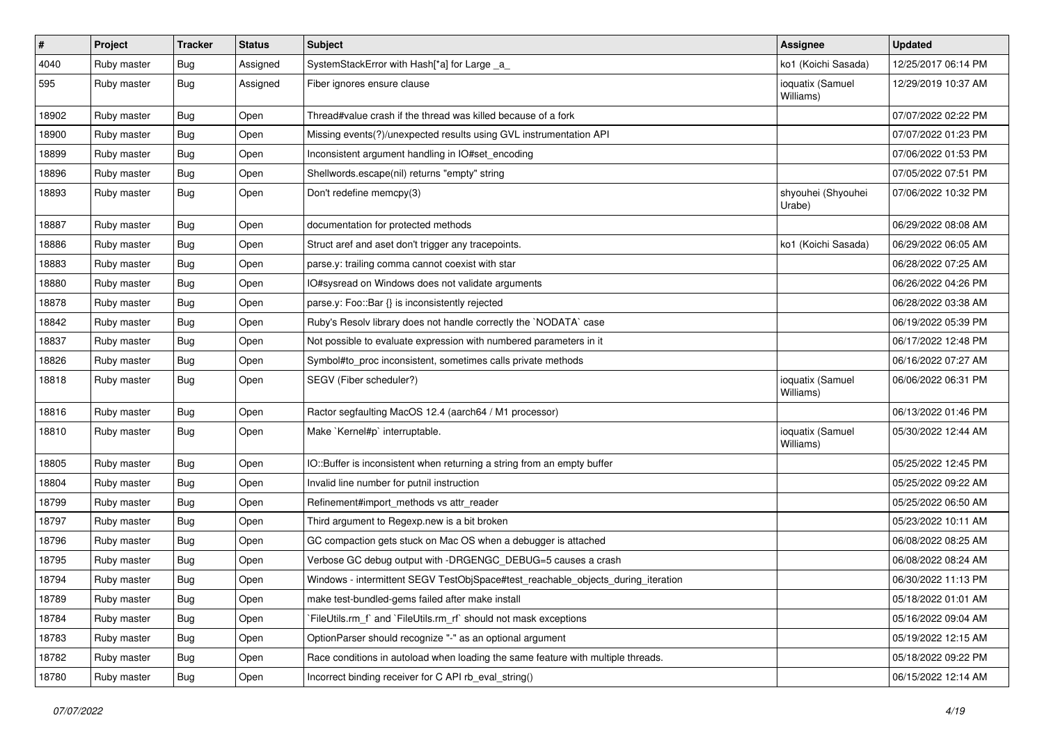| $\sharp$ | Project     | <b>Tracker</b> | <b>Status</b> | Subject                                                                          | <b>Assignee</b>               | <b>Updated</b>      |
|----------|-------------|----------------|---------------|----------------------------------------------------------------------------------|-------------------------------|---------------------|
| 4040     | Ruby master | <b>Bug</b>     | Assigned      | SystemStackError with Hash[*a] for Large _a_                                     | ko1 (Koichi Sasada)           | 12/25/2017 06:14 PM |
| 595      | Ruby master | <b>Bug</b>     | Assigned      | Fiber ignores ensure clause                                                      | ioquatix (Samuel<br>Williams) | 12/29/2019 10:37 AM |
| 18902    | Ruby master | <b>Bug</b>     | Open          | Thread#value crash if the thread was killed because of a fork                    |                               | 07/07/2022 02:22 PM |
| 18900    | Ruby master | <b>Bug</b>     | Open          | Missing events(?)/unexpected results using GVL instrumentation API               |                               | 07/07/2022 01:23 PM |
| 18899    | Ruby master | <b>Bug</b>     | Open          | Inconsistent argument handling in IO#set_encoding                                |                               | 07/06/2022 01:53 PM |
| 18896    | Ruby master | <b>Bug</b>     | Open          | Shellwords.escape(nil) returns "empty" string                                    |                               | 07/05/2022 07:51 PM |
| 18893    | Ruby master | <b>Bug</b>     | Open          | Don't redefine memcpy(3)                                                         | shyouhei (Shyouhei<br>Urabe)  | 07/06/2022 10:32 PM |
| 18887    | Ruby master | <b>Bug</b>     | Open          | documentation for protected methods                                              |                               | 06/29/2022 08:08 AM |
| 18886    | Ruby master | <b>Bug</b>     | Open          | Struct aref and aset don't trigger any tracepoints.                              | ko1 (Koichi Sasada)           | 06/29/2022 06:05 AM |
| 18883    | Ruby master | <b>Bug</b>     | Open          | parse.y: trailing comma cannot coexist with star                                 |                               | 06/28/2022 07:25 AM |
| 18880    | Ruby master | <b>Bug</b>     | Open          | IO#sysread on Windows does not validate arguments                                |                               | 06/26/2022 04:26 PM |
| 18878    | Ruby master | <b>Bug</b>     | Open          | parse.y: Foo::Bar {} is inconsistently rejected                                  |                               | 06/28/2022 03:38 AM |
| 18842    | Ruby master | <b>Bug</b>     | Open          | Ruby's Resolv library does not handle correctly the `NODATA` case                |                               | 06/19/2022 05:39 PM |
| 18837    | Ruby master | <b>Bug</b>     | Open          | Not possible to evaluate expression with numbered parameters in it               |                               | 06/17/2022 12:48 PM |
| 18826    | Ruby master | <b>Bug</b>     | Open          | Symbol#to_proc inconsistent, sometimes calls private methods                     |                               | 06/16/2022 07:27 AM |
| 18818    | Ruby master | <b>Bug</b>     | Open          | SEGV (Fiber scheduler?)                                                          | ioquatix (Samuel<br>Williams) | 06/06/2022 06:31 PM |
| 18816    | Ruby master | <b>Bug</b>     | Open          | Ractor segfaulting MacOS 12.4 (aarch64 / M1 processor)                           |                               | 06/13/2022 01:46 PM |
| 18810    | Ruby master | <b>Bug</b>     | Open          | Make `Kernel#p` interruptable.                                                   | ioquatix (Samuel<br>Williams) | 05/30/2022 12:44 AM |
| 18805    | Ruby master | <b>Bug</b>     | Open          | IO::Buffer is inconsistent when returning a string from an empty buffer          |                               | 05/25/2022 12:45 PM |
| 18804    | Ruby master | <b>Bug</b>     | Open          | Invalid line number for putnil instruction                                       |                               | 05/25/2022 09:22 AM |
| 18799    | Ruby master | <b>Bug</b>     | Open          | Refinement#import_methods vs attr_reader                                         |                               | 05/25/2022 06:50 AM |
| 18797    | Ruby master | <b>Bug</b>     | Open          | Third argument to Regexp.new is a bit broken                                     |                               | 05/23/2022 10:11 AM |
| 18796    | Ruby master | <b>Bug</b>     | Open          | GC compaction gets stuck on Mac OS when a debugger is attached                   |                               | 06/08/2022 08:25 AM |
| 18795    | Ruby master | <b>Bug</b>     | Open          | Verbose GC debug output with -DRGENGC_DEBUG=5 causes a crash                     |                               | 06/08/2022 08:24 AM |
| 18794    | Ruby master | <b>Bug</b>     | Open          | Windows - intermittent SEGV TestObjSpace#test_reachable_objects_during_iteration |                               | 06/30/2022 11:13 PM |
| 18789    | Ruby master | Bug            | Open          | make test-bundled-gems failed after make install                                 |                               | 05/18/2022 01:01 AM |
| 18784    | Ruby master | <b>Bug</b>     | Open          | FileUtils.rm_f` and `FileUtils.rm_rf` should not mask exceptions                 |                               | 05/16/2022 09:04 AM |
| 18783    | Ruby master | <b>Bug</b>     | Open          | OptionParser should recognize "-" as an optional argument                        |                               | 05/19/2022 12:15 AM |
| 18782    | Ruby master | <b>Bug</b>     | Open          | Race conditions in autoload when loading the same feature with multiple threads. |                               | 05/18/2022 09:22 PM |
| 18780    | Ruby master | <b>Bug</b>     | Open          | Incorrect binding receiver for C API rb_eval_string()                            |                               | 06/15/2022 12:14 AM |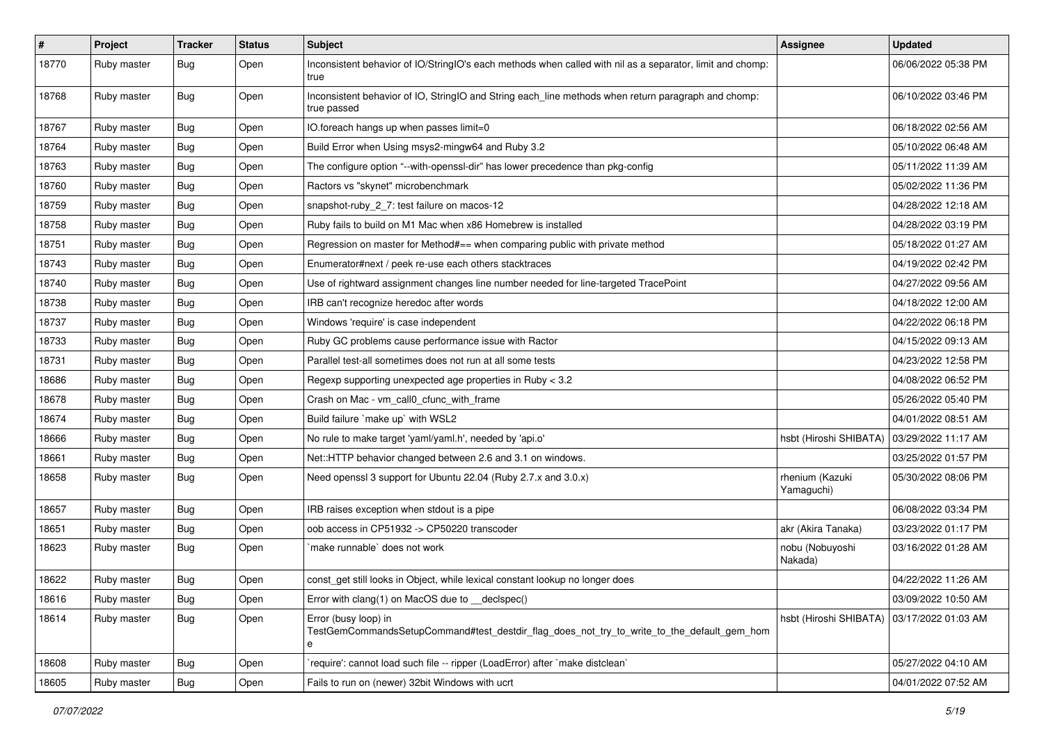| $\sharp$ | Project     | <b>Tracker</b> | <b>Status</b> | Subject                                                                                                                 | <b>Assignee</b>               | <b>Updated</b>      |
|----------|-------------|----------------|---------------|-------------------------------------------------------------------------------------------------------------------------|-------------------------------|---------------------|
| 18770    | Ruby master | <b>Bug</b>     | Open          | Inconsistent behavior of IO/StringIO's each methods when called with nil as a separator, limit and chomp:<br>true       |                               | 06/06/2022 05:38 PM |
| 18768    | Ruby master | <b>Bug</b>     | Open          | Inconsistent behavior of IO, StringIO and String each_line methods when return paragraph and chomp:<br>true passed      |                               | 06/10/2022 03:46 PM |
| 18767    | Ruby master | <b>Bug</b>     | Open          | IO.foreach hangs up when passes limit=0                                                                                 |                               | 06/18/2022 02:56 AM |
| 18764    | Ruby master | <b>Bug</b>     | Open          | Build Error when Using msys2-mingw64 and Ruby 3.2                                                                       |                               | 05/10/2022 06:48 AM |
| 18763    | Ruby master | <b>Bug</b>     | Open          | The configure option "--with-openssl-dir" has lower precedence than pkg-config                                          |                               | 05/11/2022 11:39 AM |
| 18760    | Ruby master | <b>Bug</b>     | Open          | Ractors vs "skynet" microbenchmark                                                                                      |                               | 05/02/2022 11:36 PM |
| 18759    | Ruby master | <b>Bug</b>     | Open          | snapshot-ruby_2_7: test failure on macos-12                                                                             |                               | 04/28/2022 12:18 AM |
| 18758    | Ruby master | <b>Bug</b>     | Open          | Ruby fails to build on M1 Mac when x86 Homebrew is installed                                                            |                               | 04/28/2022 03:19 PM |
| 18751    | Ruby master | <b>Bug</b>     | Open          | Regression on master for Method#== when comparing public with private method                                            |                               | 05/18/2022 01:27 AM |
| 18743    | Ruby master | <b>Bug</b>     | Open          | Enumerator#next / peek re-use each others stacktraces                                                                   |                               | 04/19/2022 02:42 PM |
| 18740    | Ruby master | <b>Bug</b>     | Open          | Use of rightward assignment changes line number needed for line-targeted TracePoint                                     |                               | 04/27/2022 09:56 AM |
| 18738    | Ruby master | <b>Bug</b>     | Open          | IRB can't recognize heredoc after words                                                                                 |                               | 04/18/2022 12:00 AM |
| 18737    | Ruby master | <b>Bug</b>     | Open          | Windows 'require' is case independent                                                                                   |                               | 04/22/2022 06:18 PM |
| 18733    | Ruby master | <b>Bug</b>     | Open          | Ruby GC problems cause performance issue with Ractor                                                                    |                               | 04/15/2022 09:13 AM |
| 18731    | Ruby master | <b>Bug</b>     | Open          | Parallel test-all sometimes does not run at all some tests                                                              |                               | 04/23/2022 12:58 PM |
| 18686    | Ruby master | <b>Bug</b>     | Open          | Regexp supporting unexpected age properties in Ruby < 3.2                                                               |                               | 04/08/2022 06:52 PM |
| 18678    | Ruby master | <b>Bug</b>     | Open          | Crash on Mac - vm call0 cfunc with frame                                                                                |                               | 05/26/2022 05:40 PM |
| 18674    | Ruby master | <b>Bug</b>     | Open          | Build failure `make up` with WSL2                                                                                       |                               | 04/01/2022 08:51 AM |
| 18666    | Ruby master | <b>Bug</b>     | Open          | No rule to make target 'yaml/yaml.h', needed by 'api.o'                                                                 | hsbt (Hiroshi SHIBATA)        | 03/29/2022 11:17 AM |
| 18661    | Ruby master | <b>Bug</b>     | Open          | Net::HTTP behavior changed between 2.6 and 3.1 on windows.                                                              |                               | 03/25/2022 01:57 PM |
| 18658    | Ruby master | Bug            | Open          | Need openssl 3 support for Ubuntu 22.04 (Ruby 2.7.x and 3.0.x)                                                          | rhenium (Kazuki<br>Yamaguchi) | 05/30/2022 08:06 PM |
| 18657    | Ruby master | <b>Bug</b>     | Open          | IRB raises exception when stdout is a pipe                                                                              |                               | 06/08/2022 03:34 PM |
| 18651    | Ruby master | Bug            | Open          | oob access in CP51932 -> CP50220 transcoder                                                                             | akr (Akira Tanaka)            | 03/23/2022 01:17 PM |
| 18623    | Ruby master | Bug            | Open          | make runnable' does not work                                                                                            | nobu (Nobuyoshi<br>Nakada)    | 03/16/2022 01:28 AM |
| 18622    | Ruby master | Bug            | Open          | const get still looks in Object, while lexical constant lookup no longer does                                           |                               | 04/22/2022 11:26 AM |
| 18616    | Ruby master | <b>Bug</b>     | Open          | Error with clang(1) on MacOS due to _declspec()                                                                         |                               | 03/09/2022 10:50 AM |
| 18614    | Ruby master | <b>Bug</b>     | Open          | Error (busy loop) in<br>TestGemCommandsSetupCommand#test_destdir_flag_does_not_try_to_write_to_the_default_gem_hom<br>e | hsbt (Hiroshi SHIBATA)        | 03/17/2022 01:03 AM |
| 18608    | Ruby master | <b>Bug</b>     | Open          | 'require': cannot load such file -- ripper (LoadError) after 'make distclean'                                           |                               | 05/27/2022 04:10 AM |
| 18605    | Ruby master | <b>Bug</b>     | Open          | Fails to run on (newer) 32bit Windows with ucrt                                                                         |                               | 04/01/2022 07:52 AM |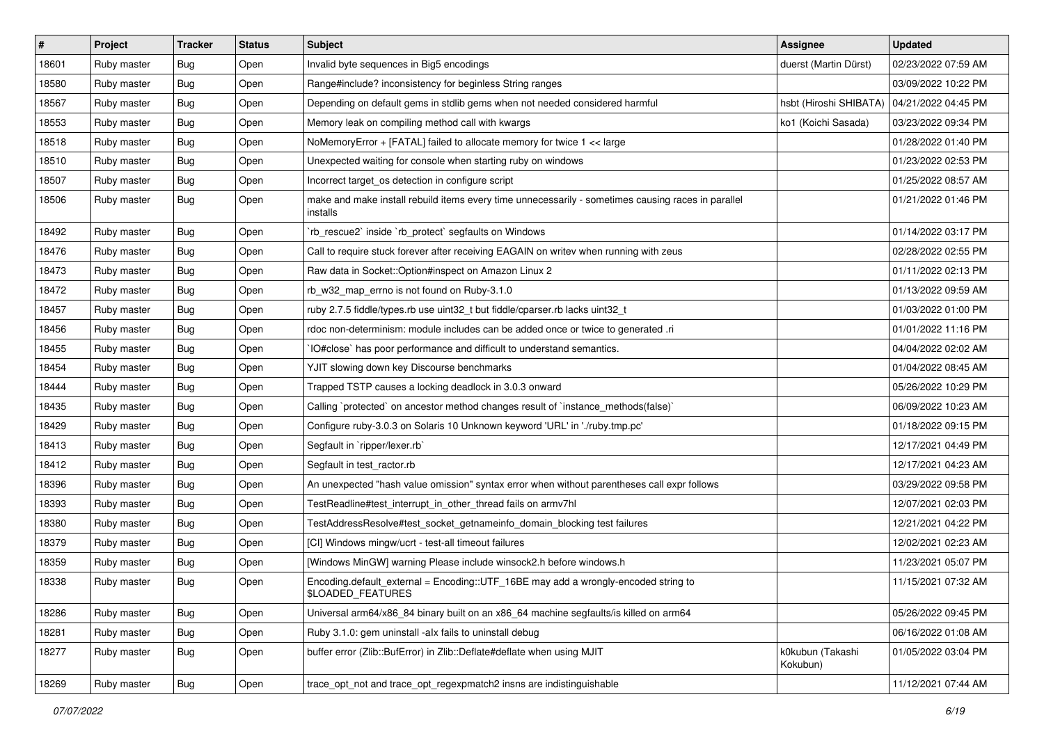| $\vert$ # | Project     | <b>Tracker</b> | <b>Status</b> | <b>Subject</b>                                                                                                 | Assignee                     | <b>Updated</b>      |
|-----------|-------------|----------------|---------------|----------------------------------------------------------------------------------------------------------------|------------------------------|---------------------|
| 18601     | Ruby master | Bug            | Open          | Invalid byte sequences in Big5 encodings                                                                       | duerst (Martin Dürst)        | 02/23/2022 07:59 AM |
| 18580     | Ruby master | <b>Bug</b>     | Open          | Range#include? inconsistency for beginless String ranges                                                       |                              | 03/09/2022 10:22 PM |
| 18567     | Ruby master | Bug            | Open          | Depending on default gems in stdlib gems when not needed considered harmful                                    | hsbt (Hiroshi SHIBATA)       | 04/21/2022 04:45 PM |
| 18553     | Ruby master | <b>Bug</b>     | Open          | Memory leak on compiling method call with kwargs                                                               | ko1 (Koichi Sasada)          | 03/23/2022 09:34 PM |
| 18518     | Ruby master | <b>Bug</b>     | Open          | NoMemoryError + [FATAL] failed to allocate memory for twice 1 << large                                         |                              | 01/28/2022 01:40 PM |
| 18510     | Ruby master | Bug            | Open          | Unexpected waiting for console when starting ruby on windows                                                   |                              | 01/23/2022 02:53 PM |
| 18507     | Ruby master | <b>Bug</b>     | Open          | Incorrect target_os detection in configure script                                                              |                              | 01/25/2022 08:57 AM |
| 18506     | Ruby master | Bug            | Open          | make and make install rebuild items every time unnecessarily - sometimes causing races in parallel<br>installs |                              | 01/21/2022 01:46 PM |
| 18492     | Ruby master | <b>Bug</b>     | Open          | 'rb_rescue2' inside 'rb_protect' segfaults on Windows                                                          |                              | 01/14/2022 03:17 PM |
| 18476     | Ruby master | Bug            | Open          | Call to require stuck forever after receiving EAGAIN on writev when running with zeus                          |                              | 02/28/2022 02:55 PM |
| 18473     | Ruby master | Bug            | Open          | Raw data in Socket:: Option#inspect on Amazon Linux 2                                                          |                              | 01/11/2022 02:13 PM |
| 18472     | Ruby master | Bug            | Open          | rb_w32_map_errno is not found on Ruby-3.1.0                                                                    |                              | 01/13/2022 09:59 AM |
| 18457     | Ruby master | Bug            | Open          | ruby 2.7.5 fiddle/types.rb use uint32_t but fiddle/cparser.rb lacks uint32_t                                   |                              | 01/03/2022 01:00 PM |
| 18456     | Ruby master | Bug            | Open          | rdoc non-determinism: module includes can be added once or twice to generated .ri                              |                              | 01/01/2022 11:16 PM |
| 18455     | Ruby master | <b>Bug</b>     | Open          | IO#close` has poor performance and difficult to understand semantics.                                          |                              | 04/04/2022 02:02 AM |
| 18454     | Ruby master | Bug            | Open          | YJIT slowing down key Discourse benchmarks                                                                     |                              | 01/04/2022 08:45 AM |
| 18444     | Ruby master | <b>Bug</b>     | Open          | Trapped TSTP causes a locking deadlock in 3.0.3 onward                                                         |                              | 05/26/2022 10:29 PM |
| 18435     | Ruby master | Bug            | Open          | Calling `protected` on ancestor method changes result of `instance_methods(false)`                             |                              | 06/09/2022 10:23 AM |
| 18429     | Ruby master | <b>Bug</b>     | Open          | Configure ruby-3.0.3 on Solaris 10 Unknown keyword 'URL' in './ruby.tmp.pc'                                    |                              | 01/18/2022 09:15 PM |
| 18413     | Ruby master | Bug            | Open          | Segfault in `ripper/lexer.rb`                                                                                  |                              | 12/17/2021 04:49 PM |
| 18412     | Ruby master | <b>Bug</b>     | Open          | Segfault in test_ractor.rb                                                                                     |                              | 12/17/2021 04:23 AM |
| 18396     | Ruby master | <b>Bug</b>     | Open          | An unexpected "hash value omission" syntax error when without parentheses call expr follows                    |                              | 03/29/2022 09:58 PM |
| 18393     | Ruby master | Bug            | Open          | TestReadline#test interrupt in other thread fails on armv7hl                                                   |                              | 12/07/2021 02:03 PM |
| 18380     | Ruby master | Bug            | Open          | TestAddressResolve#test_socket_getnameinfo_domain_blocking test failures                                       |                              | 12/21/2021 04:22 PM |
| 18379     | Ruby master | <b>Bug</b>     | Open          | [CI] Windows mingw/ucrt - test-all timeout failures                                                            |                              | 12/02/2021 02:23 AM |
| 18359     | Ruby master | Bug            | Open          | [Windows MinGW] warning Please include winsock2.h before windows.h                                             |                              | 11/23/2021 05:07 PM |
| 18338     | Ruby master | <b>Bug</b>     | Open          | Encoding.default_external = Encoding::UTF_16BE may add a wrongly-encoded string to<br><b>\$LOADED FEATURES</b> |                              | 11/15/2021 07:32 AM |
| 18286     | Ruby master | <b>Bug</b>     | Open          | Universal arm64/x86_84 binary built on an x86_64 machine segfaults/is killed on arm64                          |                              | 05/26/2022 09:45 PM |
| 18281     | Ruby master | <b>Bug</b>     | Open          | Ruby 3.1.0: gem uninstall -alx fails to uninstall debug                                                        |                              | 06/16/2022 01:08 AM |
| 18277     | Ruby master | <b>Bug</b>     | Open          | buffer error (Zlib::BufError) in Zlib::Deflate#deflate when using MJIT                                         | k0kubun (Takashi<br>Kokubun) | 01/05/2022 03:04 PM |
| 18269     | Ruby master | <b>Bug</b>     | Open          | trace_opt_not and trace_opt_regexpmatch2 insns are indistinguishable                                           |                              | 11/12/2021 07:44 AM |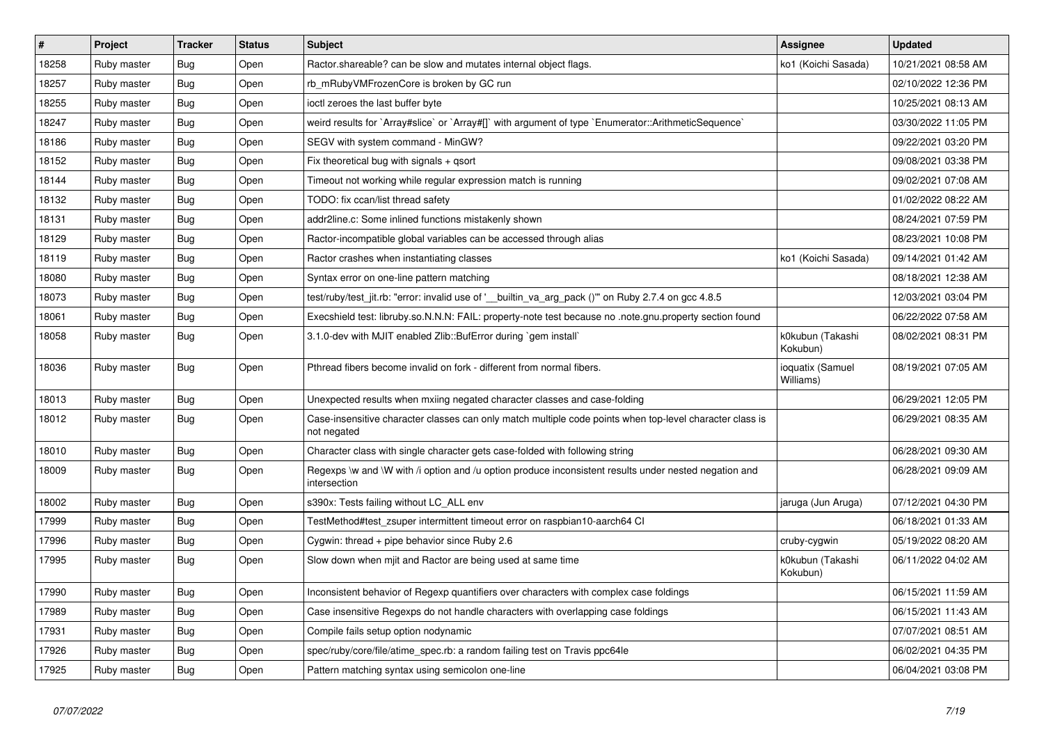| $\vert$ # | Project     | <b>Tracker</b> | <b>Status</b> | <b>Subject</b>                                                                                                          | <b>Assignee</b>               | <b>Updated</b>      |
|-----------|-------------|----------------|---------------|-------------------------------------------------------------------------------------------------------------------------|-------------------------------|---------------------|
| 18258     | Ruby master | Bug            | Open          | Ractor shareable? can be slow and mutates internal object flags.                                                        | ko1 (Koichi Sasada)           | 10/21/2021 08:58 AM |
| 18257     | Ruby master | Bug            | Open          | rb mRubyVMFrozenCore is broken by GC run                                                                                |                               | 02/10/2022 12:36 PM |
| 18255     | Ruby master | <b>Bug</b>     | Open          | ioctl zeroes the last buffer byte                                                                                       |                               | 10/25/2021 08:13 AM |
| 18247     | Ruby master | <b>Bug</b>     | Open          | weird results for `Array#slice` or `Array#[]` with argument of type `Enumerator::ArithmeticSequence`                    |                               | 03/30/2022 11:05 PM |
| 18186     | Ruby master | Bug            | Open          | SEGV with system command - MinGW?                                                                                       |                               | 09/22/2021 03:20 PM |
| 18152     | Ruby master | <b>Bug</b>     | Open          | Fix theoretical bug with signals + qsort                                                                                |                               | 09/08/2021 03:38 PM |
| 18144     | Ruby master | <b>Bug</b>     | Open          | Timeout not working while regular expression match is running                                                           |                               | 09/02/2021 07:08 AM |
| 18132     | Ruby master | <b>Bug</b>     | Open          | TODO: fix ccan/list thread safety                                                                                       |                               | 01/02/2022 08:22 AM |
| 18131     | Ruby master | Bug            | Open          | addr2line.c: Some inlined functions mistakenly shown                                                                    |                               | 08/24/2021 07:59 PM |
| 18129     | Ruby master | <b>Bug</b>     | Open          | Ractor-incompatible global variables can be accessed through alias                                                      |                               | 08/23/2021 10:08 PM |
| 18119     | Ruby master | <b>Bug</b>     | Open          | Ractor crashes when instantiating classes                                                                               | ko1 (Koichi Sasada)           | 09/14/2021 01:42 AM |
| 18080     | Ruby master | <b>Bug</b>     | Open          | Syntax error on one-line pattern matching                                                                               |                               | 08/18/2021 12:38 AM |
| 18073     | Ruby master | Bug            | Open          | test/ruby/test_jit.rb: "error: invalid use of '__builtin_va_arg_pack ()"" on Ruby 2.7.4 on gcc 4.8.5                    |                               | 12/03/2021 03:04 PM |
| 18061     | Ruby master | Bug            | Open          | Execshield test: libruby.so.N.N.N: FAIL: property-note test because no .note.gnu.property section found                 |                               | 06/22/2022 07:58 AM |
| 18058     | Ruby master | <b>Bug</b>     | Open          | 3.1.0-dev with MJIT enabled Zlib::BufError during `gem install`                                                         | k0kubun (Takashi<br>Kokubun)  | 08/02/2021 08:31 PM |
| 18036     | Ruby master | Bug            | Open          | Pthread fibers become invalid on fork - different from normal fibers.                                                   | ioquatix (Samuel<br>Williams) | 08/19/2021 07:05 AM |
| 18013     | Ruby master | <b>Bug</b>     | Open          | Unexpected results when mxiing negated character classes and case-folding                                               |                               | 06/29/2021 12:05 PM |
| 18012     | Ruby master | Bug            | Open          | Case-insensitive character classes can only match multiple code points when top-level character class is<br>not negated |                               | 06/29/2021 08:35 AM |
| 18010     | Ruby master | <b>Bug</b>     | Open          | Character class with single character gets case-folded with following string                                            |                               | 06/28/2021 09:30 AM |
| 18009     | Ruby master | <b>Bug</b>     | Open          | Regexps \w and \W with /i option and /u option produce inconsistent results under nested negation and<br>intersection   |                               | 06/28/2021 09:09 AM |
| 18002     | Ruby master | <b>Bug</b>     | Open          | s390x: Tests failing without LC ALL env                                                                                 | jaruga (Jun Aruga)            | 07/12/2021 04:30 PM |
| 17999     | Ruby master | <b>Bug</b>     | Open          | TestMethod#test_zsuper intermittent timeout error on raspbian10-aarch64 CI                                              |                               | 06/18/2021 01:33 AM |
| 17996     | Ruby master | <b>Bug</b>     | Open          | Cygwin: thread + pipe behavior since Ruby 2.6                                                                           | cruby-cygwin                  | 05/19/2022 08:20 AM |
| 17995     | Ruby master | <b>Bug</b>     | Open          | Slow down when mjit and Ractor are being used at same time                                                              | k0kubun (Takashi<br>Kokubun)  | 06/11/2022 04:02 AM |
| 17990     | Ruby master | <b>Bug</b>     | Open          | Inconsistent behavior of Regexp quantifiers over characters with complex case foldings                                  |                               | 06/15/2021 11:59 AM |
| 17989     | Ruby master | <b>Bug</b>     | Open          | Case insensitive Regexps do not handle characters with overlapping case foldings                                        |                               | 06/15/2021 11:43 AM |
| 17931     | Ruby master | <b>Bug</b>     | Open          | Compile fails setup option nodynamic                                                                                    |                               | 07/07/2021 08:51 AM |
| 17926     | Ruby master | <b>Bug</b>     | Open          | spec/ruby/core/file/atime spec.rb: a random failing test on Travis ppc64le                                              |                               | 06/02/2021 04:35 PM |
| 17925     | Ruby master | Bug            | Open          | Pattern matching syntax using semicolon one-line                                                                        |                               | 06/04/2021 03:08 PM |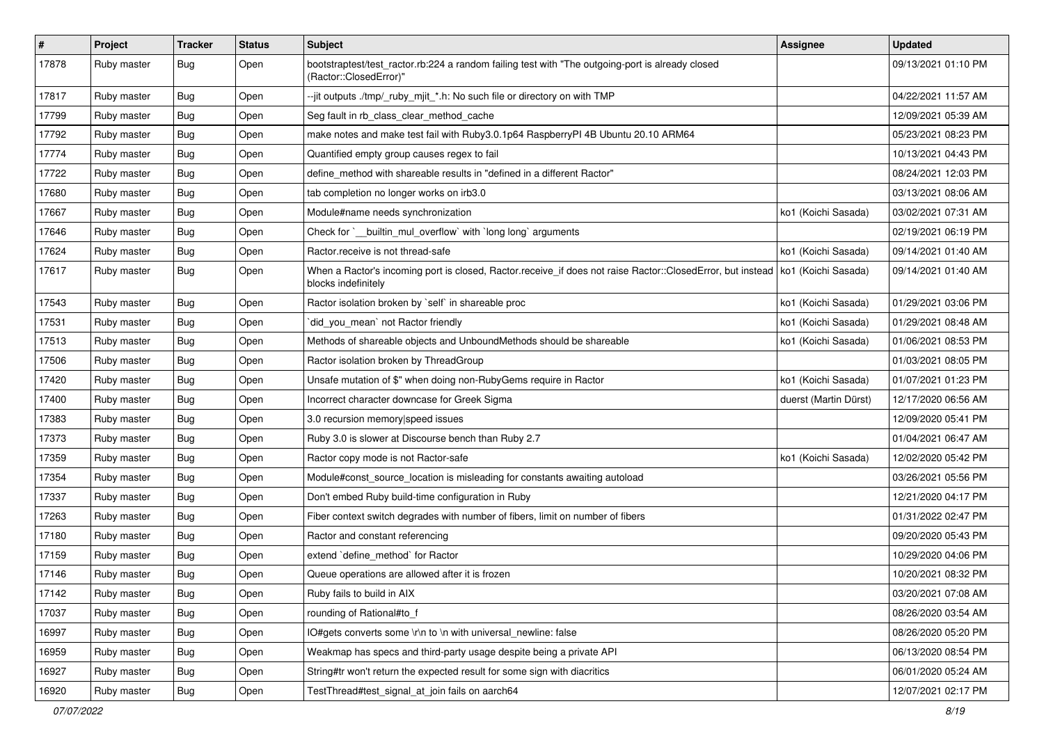| $\sharp$ | Project     | <b>Tracker</b> | <b>Status</b> | <b>Subject</b>                                                                                                                                          | Assignee              | <b>Updated</b>      |
|----------|-------------|----------------|---------------|---------------------------------------------------------------------------------------------------------------------------------------------------------|-----------------------|---------------------|
| 17878    | Ruby master | <b>Bug</b>     | Open          | bootstraptest/test_ractor.rb:224 a random failing test with "The outgoing-port is already closed<br>(Ractor::ClosedError)"                              |                       | 09/13/2021 01:10 PM |
| 17817    | Ruby master | <b>Bug</b>     | Open          | --jit outputs ./tmp/_ruby_mjit_*.h: No such file or directory on with TMP                                                                               |                       | 04/22/2021 11:57 AM |
| 17799    | Ruby master | <b>Bug</b>     | Open          | Seg fault in rb_class_clear_method_cache                                                                                                                |                       | 12/09/2021 05:39 AM |
| 17792    | Ruby master | <b>Bug</b>     | Open          | make notes and make test fail with Ruby3.0.1p64 RaspberryPI 4B Ubuntu 20.10 ARM64                                                                       |                       | 05/23/2021 08:23 PM |
| 17774    | Ruby master | Bug            | Open          | Quantified empty group causes regex to fail                                                                                                             |                       | 10/13/2021 04:43 PM |
| 17722    | Ruby master | <b>Bug</b>     | Open          | define_method with shareable results in "defined in a different Ractor"                                                                                 |                       | 08/24/2021 12:03 PM |
| 17680    | Ruby master | <b>Bug</b>     | Open          | tab completion no longer works on irb3.0                                                                                                                |                       | 03/13/2021 08:06 AM |
| 17667    | Ruby master | Bug            | Open          | Module#name needs synchronization                                                                                                                       | ko1 (Koichi Sasada)   | 03/02/2021 07:31 AM |
| 17646    | Ruby master | <b>Bug</b>     | Open          | Check for `__builtin_mul_overflow` with `long long` arguments                                                                                           |                       | 02/19/2021 06:19 PM |
| 17624    | Ruby master | Bug            | Open          | Ractor.receive is not thread-safe                                                                                                                       | ko1 (Koichi Sasada)   | 09/14/2021 01:40 AM |
| 17617    | Ruby master | <b>Bug</b>     | Open          | When a Ractor's incoming port is closed, Ractor.receive_if does not raise Ractor::ClosedError, but instead   ko1 (Koichi Sasada)<br>blocks indefinitely |                       | 09/14/2021 01:40 AM |
| 17543    | Ruby master | <b>Bug</b>     | Open          | Ractor isolation broken by `self` in shareable proc                                                                                                     | ko1 (Koichi Sasada)   | 01/29/2021 03:06 PM |
| 17531    | Ruby master | Bug            | Open          | did_you_mean` not Ractor friendly                                                                                                                       | ko1 (Koichi Sasada)   | 01/29/2021 08:48 AM |
| 17513    | Ruby master | Bug            | Open          | Methods of shareable objects and UnboundMethods should be shareable                                                                                     | ko1 (Koichi Sasada)   | 01/06/2021 08:53 PM |
| 17506    | Ruby master | <b>Bug</b>     | Open          | Ractor isolation broken by ThreadGroup                                                                                                                  |                       | 01/03/2021 08:05 PM |
| 17420    | Ruby master | <b>Bug</b>     | Open          | Unsafe mutation of \$" when doing non-RubyGems require in Ractor                                                                                        | ko1 (Koichi Sasada)   | 01/07/2021 01:23 PM |
| 17400    | Ruby master | <b>Bug</b>     | Open          | Incorrect character downcase for Greek Sigma                                                                                                            | duerst (Martin Dürst) | 12/17/2020 06:56 AM |
| 17383    | Ruby master | <b>Bug</b>     | Open          | 3.0 recursion memory speed issues                                                                                                                       |                       | 12/09/2020 05:41 PM |
| 17373    | Ruby master | <b>Bug</b>     | Open          | Ruby 3.0 is slower at Discourse bench than Ruby 2.7                                                                                                     |                       | 01/04/2021 06:47 AM |
| 17359    | Ruby master | Bug            | Open          | Ractor copy mode is not Ractor-safe                                                                                                                     | ko1 (Koichi Sasada)   | 12/02/2020 05:42 PM |
| 17354    | Ruby master | <b>Bug</b>     | Open          | Module#const_source_location is misleading for constants awaiting autoload                                                                              |                       | 03/26/2021 05:56 PM |
| 17337    | Ruby master | <b>Bug</b>     | Open          | Don't embed Ruby build-time configuration in Ruby                                                                                                       |                       | 12/21/2020 04:17 PM |
| 17263    | Ruby master | <b>Bug</b>     | Open          | Fiber context switch degrades with number of fibers, limit on number of fibers                                                                          |                       | 01/31/2022 02:47 PM |
| 17180    | Ruby master | Bug            | Open          | Ractor and constant referencing                                                                                                                         |                       | 09/20/2020 05:43 PM |
| 17159    | Ruby master | <b>Bug</b>     | Open          | extend `define_method` for Ractor                                                                                                                       |                       | 10/29/2020 04:06 PM |
| 17146    | Ruby master | Bug            | Open          | Queue operations are allowed after it is frozen                                                                                                         |                       | 10/20/2021 08:32 PM |
| 17142    | Ruby master | Bug            | Open          | Ruby fails to build in AIX                                                                                                                              |                       | 03/20/2021 07:08 AM |
| 17037    | Ruby master | <b>Bug</b>     | Open          | rounding of Rational#to_f                                                                                                                               |                       | 08/26/2020 03:54 AM |
| 16997    | Ruby master | <b>Bug</b>     | Open          | IO#gets converts some \r\n to \n with universal newline: false                                                                                          |                       | 08/26/2020 05:20 PM |
| 16959    | Ruby master | <b>Bug</b>     | Open          | Weakmap has specs and third-party usage despite being a private API                                                                                     |                       | 06/13/2020 08:54 PM |
| 16927    | Ruby master | <b>Bug</b>     | Open          | String#tr won't return the expected result for some sign with diacritics                                                                                |                       | 06/01/2020 05:24 AM |
| 16920    | Ruby master | <b>Bug</b>     | Open          | TestThread#test_signal_at_join fails on aarch64                                                                                                         |                       | 12/07/2021 02:17 PM |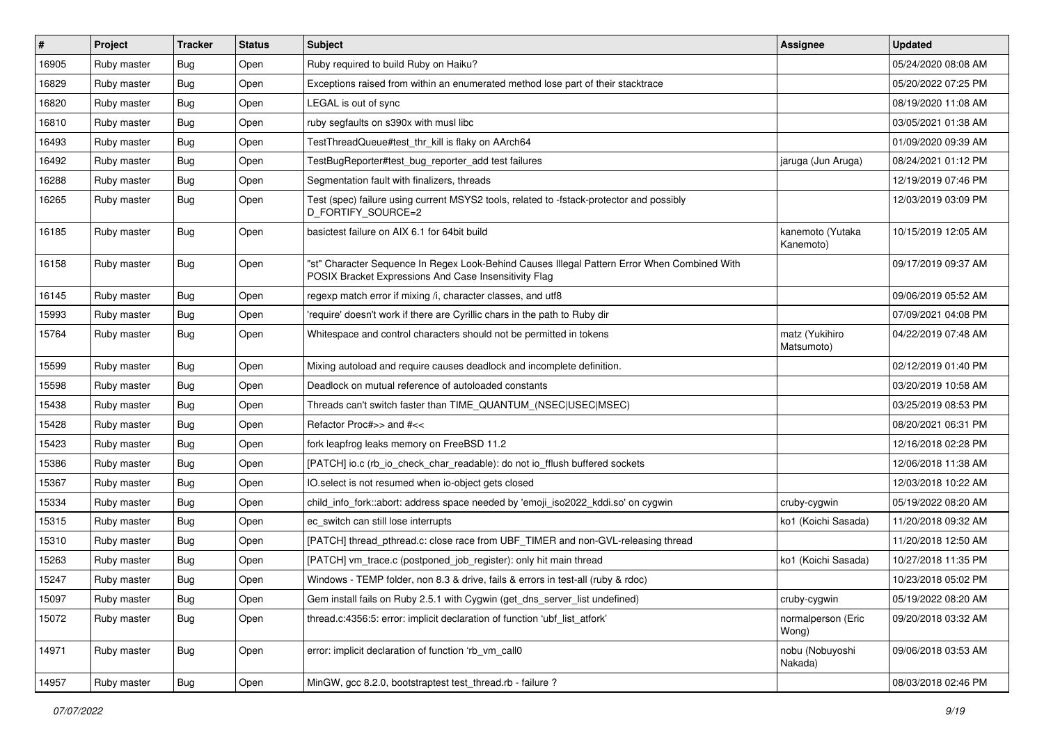| $\vert$ # | Project     | <b>Tracker</b> | <b>Status</b> | <b>Subject</b>                                                                                                                                        | Assignee                      | <b>Updated</b>      |
|-----------|-------------|----------------|---------------|-------------------------------------------------------------------------------------------------------------------------------------------------------|-------------------------------|---------------------|
| 16905     | Ruby master | <b>Bug</b>     | Open          | Ruby required to build Ruby on Haiku?                                                                                                                 |                               | 05/24/2020 08:08 AM |
| 16829     | Ruby master | <b>Bug</b>     | Open          | Exceptions raised from within an enumerated method lose part of their stacktrace                                                                      |                               | 05/20/2022 07:25 PM |
| 16820     | Ruby master | Bug            | Open          | LEGAL is out of sync                                                                                                                                  |                               | 08/19/2020 11:08 AM |
| 16810     | Ruby master | <b>Bug</b>     | Open          | ruby segfaults on s390x with musl libc                                                                                                                |                               | 03/05/2021 01:38 AM |
| 16493     | Ruby master | <b>Bug</b>     | Open          | TestThreadQueue#test_thr_kill is flaky on AArch64                                                                                                     |                               | 01/09/2020 09:39 AM |
| 16492     | Ruby master | <b>Bug</b>     | Open          | TestBugReporter#test_bug_reporter_add test failures                                                                                                   | jaruga (Jun Aruga)            | 08/24/2021 01:12 PM |
| 16288     | Ruby master | <b>Bug</b>     | Open          | Segmentation fault with finalizers, threads                                                                                                           |                               | 12/19/2019 07:46 PM |
| 16265     | Ruby master | <b>Bug</b>     | Open          | Test (spec) failure using current MSYS2 tools, related to -fstack-protector and possibly<br>D_FORTIFY_SOURCE=2                                        |                               | 12/03/2019 03:09 PM |
| 16185     | Ruby master | <b>Bug</b>     | Open          | basictest failure on AIX 6.1 for 64bit build                                                                                                          | kanemoto (Yutaka<br>Kanemoto) | 10/15/2019 12:05 AM |
| 16158     | Ruby master | <b>Bug</b>     | Open          | "st" Character Sequence In Regex Look-Behind Causes Illegal Pattern Error When Combined With<br>POSIX Bracket Expressions And Case Insensitivity Flag |                               | 09/17/2019 09:37 AM |
| 16145     | Ruby master | <b>Bug</b>     | Open          | regexp match error if mixing /i, character classes, and utf8                                                                                          |                               | 09/06/2019 05:52 AM |
| 15993     | Ruby master | <b>Bug</b>     | Open          | 'require' doesn't work if there are Cyrillic chars in the path to Ruby dir                                                                            |                               | 07/09/2021 04:08 PM |
| 15764     | Ruby master | <b>Bug</b>     | Open          | Whitespace and control characters should not be permitted in tokens                                                                                   | matz (Yukihiro<br>Matsumoto)  | 04/22/2019 07:48 AM |
| 15599     | Ruby master | <b>Bug</b>     | Open          | Mixing autoload and require causes deadlock and incomplete definition.                                                                                |                               | 02/12/2019 01:40 PM |
| 15598     | Ruby master | <b>Bug</b>     | Open          | Deadlock on mutual reference of autoloaded constants                                                                                                  |                               | 03/20/2019 10:58 AM |
| 15438     | Ruby master | <b>Bug</b>     | Open          | Threads can't switch faster than TIME_QUANTUM_(NSEC USEC MSEC)                                                                                        |                               | 03/25/2019 08:53 PM |
| 15428     | Ruby master | <b>Bug</b>     | Open          | Refactor Proc#>> and #<<                                                                                                                              |                               | 08/20/2021 06:31 PM |
| 15423     | Ruby master | <b>Bug</b>     | Open          | fork leapfrog leaks memory on FreeBSD 11.2                                                                                                            |                               | 12/16/2018 02:28 PM |
| 15386     | Ruby master | <b>Bug</b>     | Open          | [PATCH] io.c (rb_io_check_char_readable): do not io_fflush buffered sockets                                                                           |                               | 12/06/2018 11:38 AM |
| 15367     | Ruby master | <b>Bug</b>     | Open          | IO.select is not resumed when io-object gets closed                                                                                                   |                               | 12/03/2018 10:22 AM |
| 15334     | Ruby master | <b>Bug</b>     | Open          | child_info_fork::abort: address space needed by 'emoji_iso2022_kddi.so' on cygwin                                                                     | cruby-cygwin                  | 05/19/2022 08:20 AM |
| 15315     | Ruby master | <b>Bug</b>     | Open          | ec_switch can still lose interrupts                                                                                                                   | ko1 (Koichi Sasada)           | 11/20/2018 09:32 AM |
| 15310     | Ruby master | <b>Bug</b>     | Open          | [PATCH] thread_pthread.c: close race from UBF_TIMER and non-GVL-releasing thread                                                                      |                               | 11/20/2018 12:50 AM |
| 15263     | Ruby master | <b>Bug</b>     | Open          | [PATCH] vm_trace.c (postponed_job_register): only hit main thread                                                                                     | ko1 (Koichi Sasada)           | 10/27/2018 11:35 PM |
| 15247     | Ruby master | <b>Bug</b>     | Open          | Windows - TEMP folder, non 8.3 & drive, fails & errors in test-all (ruby & rdoc)                                                                      |                               | 10/23/2018 05:02 PM |
| 15097     | Ruby master | <b>Bug</b>     | Open          | Gem install fails on Ruby 2.5.1 with Cygwin (get_dns_server_list undefined)                                                                           | cruby-cygwin                  | 05/19/2022 08:20 AM |
| 15072     | Ruby master | <b>Bug</b>     | Open          | thread.c:4356:5: error: implicit declaration of function 'ubf list atfork'                                                                            | normalperson (Eric<br>Wong)   | 09/20/2018 03:32 AM |
| 14971     | Ruby master | <b>Bug</b>     | Open          | error: implicit declaration of function 'rb_vm_call0                                                                                                  | nobu (Nobuyoshi<br>Nakada)    | 09/06/2018 03:53 AM |
| 14957     | Ruby master | <b>Bug</b>     | Open          | MinGW, gcc 8.2.0, bootstraptest test_thread.rb - failure ?                                                                                            |                               | 08/03/2018 02:46 PM |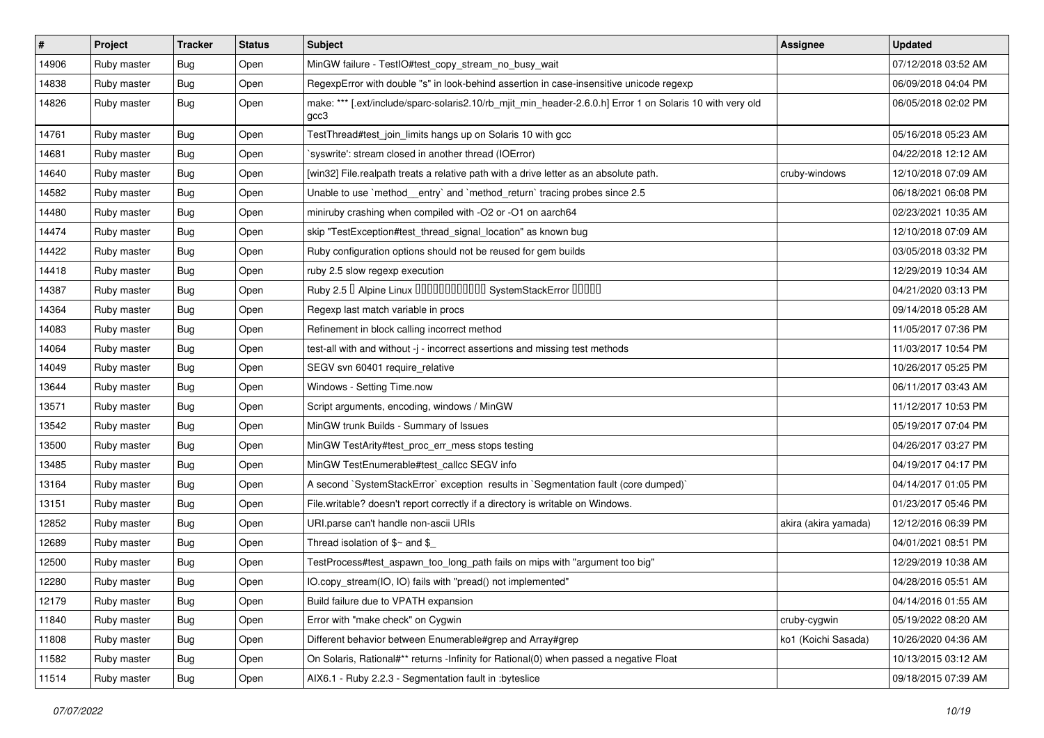| $\sharp$ | Project     | <b>Tracker</b> | <b>Status</b> | <b>Subject</b>                                                                                                    | <b>Assignee</b>      | <b>Updated</b>      |
|----------|-------------|----------------|---------------|-------------------------------------------------------------------------------------------------------------------|----------------------|---------------------|
| 14906    | Ruby master | <b>Bug</b>     | Open          | MinGW failure - TestIO#test_copy_stream_no_busy_wait                                                              |                      | 07/12/2018 03:52 AM |
| 14838    | Ruby master | Bug            | Open          | RegexpError with double "s" in look-behind assertion in case-insensitive unicode regexp                           |                      | 06/09/2018 04:04 PM |
| 14826    | Ruby master | Bug            | Open          | make: *** [.ext/include/sparc-solaris2.10/rb_mjit_min_header-2.6.0.h] Error 1 on Solaris 10 with very old<br>gcc3 |                      | 06/05/2018 02:02 PM |
| 14761    | Ruby master | Bug            | Open          | TestThread#test_join_limits hangs up on Solaris 10 with gcc                                                       |                      | 05/16/2018 05:23 AM |
| 14681    | Ruby master | <b>Bug</b>     | Open          | syswrite': stream closed in another thread (IOError)                                                              |                      | 04/22/2018 12:12 AM |
| 14640    | Ruby master | <b>Bug</b>     | Open          | [win32] File.realpath treats a relative path with a drive letter as an absolute path.                             | cruby-windows        | 12/10/2018 07:09 AM |
| 14582    | Ruby master | <b>Bug</b>     | Open          | Unable to use `method_entry` and `method_return` tracing probes since 2.5                                         |                      | 06/18/2021 06:08 PM |
| 14480    | Ruby master | <b>Bug</b>     | Open          | miniruby crashing when compiled with -O2 or -O1 on aarch64                                                        |                      | 02/23/2021 10:35 AM |
| 14474    | Ruby master | Bug            | Open          | skip "TestException#test_thread_signal_location" as known bug                                                     |                      | 12/10/2018 07:09 AM |
| 14422    | Ruby master | <b>Bug</b>     | Open          | Ruby configuration options should not be reused for gem builds                                                    |                      | 03/05/2018 03:32 PM |
| 14418    | Ruby master | <b>Bug</b>     | Open          | ruby 2.5 slow regexp execution                                                                                    |                      | 12/29/2019 10:34 AM |
| 14387    | Ruby master | Bug            | Open          | Ruby 2.5 <sup>D</sup> Alpine Linux 000000000000 SystemStackError 00000                                            |                      | 04/21/2020 03:13 PM |
| 14364    | Ruby master | <b>Bug</b>     | Open          | Regexp last match variable in procs                                                                               |                      | 09/14/2018 05:28 AM |
| 14083    | Ruby master | Bug            | Open          | Refinement in block calling incorrect method                                                                      |                      | 11/05/2017 07:36 PM |
| 14064    | Ruby master | <b>Bug</b>     | Open          | test-all with and without -j - incorrect assertions and missing test methods                                      |                      | 11/03/2017 10:54 PM |
| 14049    | Ruby master | <b>Bug</b>     | Open          | SEGV svn 60401 require relative                                                                                   |                      | 10/26/2017 05:25 PM |
| 13644    | Ruby master | Bug            | Open          | Windows - Setting Time.now                                                                                        |                      | 06/11/2017 03:43 AM |
| 13571    | Ruby master | <b>Bug</b>     | Open          | Script arguments, encoding, windows / MinGW                                                                       |                      | 11/12/2017 10:53 PM |
| 13542    | Ruby master | <b>Bug</b>     | Open          | MinGW trunk Builds - Summary of Issues                                                                            |                      | 05/19/2017 07:04 PM |
| 13500    | Ruby master | <b>Bug</b>     | Open          | MinGW TestArity#test_proc_err_mess stops testing                                                                  |                      | 04/26/2017 03:27 PM |
| 13485    | Ruby master | <b>Bug</b>     | Open          | MinGW TestEnumerable#test_callcc SEGV info                                                                        |                      | 04/19/2017 04:17 PM |
| 13164    | Ruby master | <b>Bug</b>     | Open          | A second `SystemStackError` exception results in `Segmentation fault (core dumped)`                               |                      | 04/14/2017 01:05 PM |
| 13151    | Ruby master | <b>Bug</b>     | Open          | File.writable? doesn't report correctly if a directory is writable on Windows.                                    |                      | 01/23/2017 05:46 PM |
| 12852    | Ruby master | <b>Bug</b>     | Open          | URI.parse can't handle non-ascii URIs                                                                             | akira (akira yamada) | 12/12/2016 06:39 PM |
| 12689    | Ruby master | <b>Bug</b>     | Open          | Thread isolation of $$~$ and \$                                                                                   |                      | 04/01/2021 08:51 PM |
| 12500    | Ruby master | <b>Bug</b>     | Open          | TestProcess#test_aspawn_too_long_path fails on mips with "argument too big"                                       |                      | 12/29/2019 10:38 AM |
| 12280    | Ruby master | Bug            | Open          | IO.copy_stream(IO, IO) fails with "pread() not implemented"                                                       |                      | 04/28/2016 05:51 AM |
| 12179    | Ruby master | Bug            | Open          | Build failure due to VPATH expansion                                                                              |                      | 04/14/2016 01:55 AM |
| 11840    | Ruby master | <b>Bug</b>     | Open          | Error with "make check" on Cygwin                                                                                 | cruby-cygwin         | 05/19/2022 08:20 AM |
| 11808    | Ruby master | <b>Bug</b>     | Open          | Different behavior between Enumerable#grep and Array#grep                                                         | ko1 (Koichi Sasada)  | 10/26/2020 04:36 AM |
| 11582    | Ruby master | <b>Bug</b>     | Open          | On Solaris, Rational#** returns -Infinity for Rational(0) when passed a negative Float                            |                      | 10/13/2015 03:12 AM |
| 11514    | Ruby master | <b>Bug</b>     | Open          | AIX6.1 - Ruby 2.2.3 - Segmentation fault in :byteslice                                                            |                      | 09/18/2015 07:39 AM |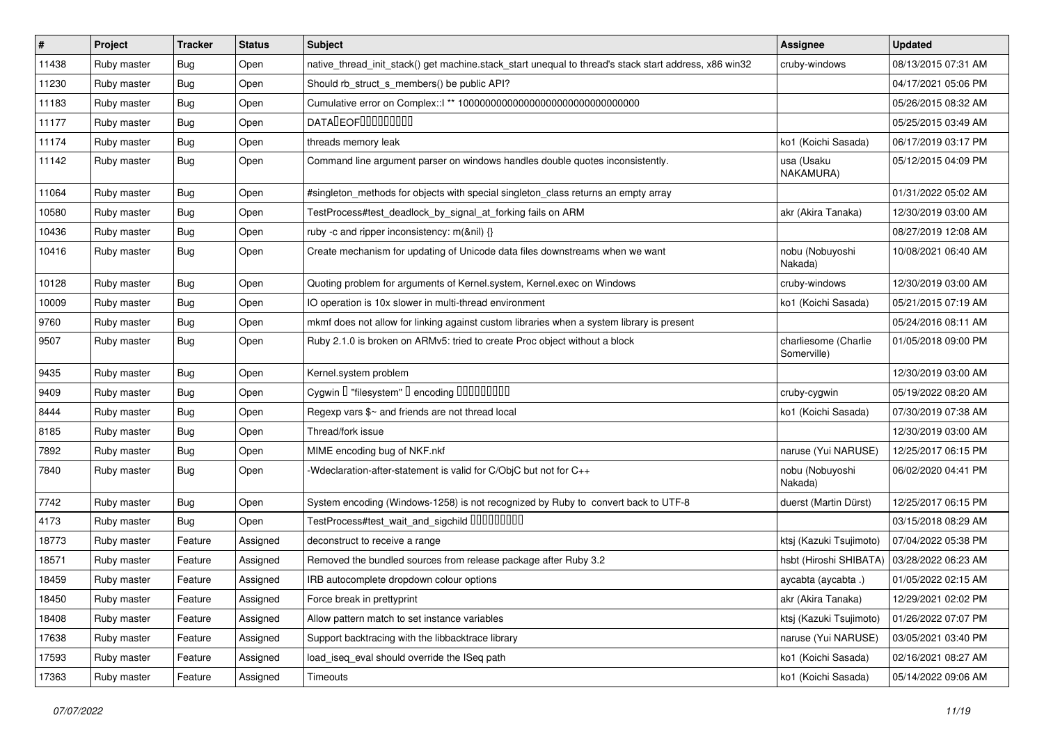| $\vert$ # | Project     | <b>Tracker</b> | <b>Status</b> | <b>Subject</b>                                                                                        | <b>Assignee</b>                     | <b>Updated</b>      |
|-----------|-------------|----------------|---------------|-------------------------------------------------------------------------------------------------------|-------------------------------------|---------------------|
| 11438     | Ruby master | <b>Bug</b>     | Open          | native_thread_init_stack() get machine.stack_start unequal to thread's stack start address, x86 win32 | cruby-windows                       | 08/13/2015 07:31 AM |
| 11230     | Ruby master | <b>Bug</b>     | Open          | Should rb_struct_s_members() be public API?                                                           |                                     | 04/17/2021 05:06 PM |
| 11183     | Ruby master | <b>Bug</b>     | Open          |                                                                                                       |                                     | 05/26/2015 08:32 AM |
| 11177     | Ruby master | <b>Bug</b>     | Open          | <b>DATALEOFILILILILILI</b>                                                                            |                                     | 05/25/2015 03:49 AM |
| 11174     | Ruby master | <b>Bug</b>     | Open          | threads memory leak                                                                                   | ko1 (Koichi Sasada)                 | 06/17/2019 03:17 PM |
| 11142     | Ruby master | <b>Bug</b>     | Open          | Command line argument parser on windows handles double quotes inconsistently.                         | usa (Usaku<br>NAKAMURA)             | 05/12/2015 04:09 PM |
| 11064     | Ruby master | <b>Bug</b>     | Open          | #singleton_methods for objects with special singleton_class returns an empty array                    |                                     | 01/31/2022 05:02 AM |
| 10580     | Ruby master | Bug            | Open          | TestProcess#test_deadlock_by_signal_at_forking fails on ARM                                           | akr (Akira Tanaka)                  | 12/30/2019 03:00 AM |
| 10436     | Ruby master | <b>Bug</b>     | Open          | ruby -c and ripper inconsistency: m(&nil) {}                                                          |                                     | 08/27/2019 12:08 AM |
| 10416     | Ruby master | <b>Bug</b>     | Open          | Create mechanism for updating of Unicode data files downstreams when we want                          | nobu (Nobuyoshi<br>Nakada)          | 10/08/2021 06:40 AM |
| 10128     | Ruby master | <b>Bug</b>     | Open          | Quoting problem for arguments of Kernel.system, Kernel.exec on Windows                                | cruby-windows                       | 12/30/2019 03:00 AM |
| 10009     | Ruby master | Bug            | Open          | IO operation is 10x slower in multi-thread environment                                                | ko1 (Koichi Sasada)                 | 05/21/2015 07:19 AM |
| 9760      | Ruby master | <b>Bug</b>     | Open          | mkmf does not allow for linking against custom libraries when a system library is present             |                                     | 05/24/2016 08:11 AM |
| 9507      | Ruby master | <b>Bug</b>     | Open          | Ruby 2.1.0 is broken on ARMv5: tried to create Proc object without a block                            | charliesome (Charlie<br>Somerville) | 01/05/2018 09:00 PM |
| 9435      | Ruby master | <b>Bug</b>     | Open          | Kernel.system problem                                                                                 |                                     | 12/30/2019 03:00 AM |
| 9409      | Ruby master | <b>Bug</b>     | Open          | Cygwin I "filesystem" I encoding IIIIIIIIIIIII                                                        | cruby-cygwin                        | 05/19/2022 08:20 AM |
| 8444      | Ruby master | <b>Bug</b>     | Open          | Regexp vars \$~ and friends are not thread local                                                      | ko1 (Koichi Sasada)                 | 07/30/2019 07:38 AM |
| 8185      | Ruby master | <b>Bug</b>     | Open          | Thread/fork issue                                                                                     |                                     | 12/30/2019 03:00 AM |
| 7892      | Ruby master | Bug            | Open          | MIME encoding bug of NKF.nkf                                                                          | naruse (Yui NARUSE)                 | 12/25/2017 06:15 PM |
| 7840      | Ruby master | <b>Bug</b>     | Open          | -Wdeclaration-after-statement is valid for C/ObjC but not for C++                                     | nobu (Nobuyoshi<br>Nakada)          | 06/02/2020 04:41 PM |
| 7742      | Ruby master | <b>Bug</b>     | Open          | System encoding (Windows-1258) is not recognized by Ruby to convert back to UTF-8                     | duerst (Martin Dürst)               | 12/25/2017 06:15 PM |
| 4173      | Ruby master | <b>Bug</b>     | Open          | TestProcess#test_wait_and_sigchild DDDDDDDD                                                           |                                     | 03/15/2018 08:29 AM |
| 18773     | Ruby master | Feature        | Assigned      | deconstruct to receive a range                                                                        | ktsj (Kazuki Tsujimoto)             | 07/04/2022 05:38 PM |
| 18571     | Ruby master | Feature        | Assigned      | Removed the bundled sources from release package after Ruby 3.2                                       | hsbt (Hiroshi SHIBATA)              | 03/28/2022 06:23 AM |
| 18459     | Ruby master | Feature        | Assigned      | IRB autocomplete dropdown colour options                                                              | aycabta (aycabta.)                  | 01/05/2022 02:15 AM |
| 18450     | Ruby master | Feature        | Assigned      | Force break in prettyprint                                                                            | akr (Akira Tanaka)                  | 12/29/2021 02:02 PM |
| 18408     | Ruby master | Feature        | Assigned      | Allow pattern match to set instance variables                                                         | ktsj (Kazuki Tsujimoto)             | 01/26/2022 07:07 PM |
| 17638     | Ruby master | Feature        | Assigned      | Support backtracing with the libbacktrace library                                                     | naruse (Yui NARUSE)                 | 03/05/2021 03:40 PM |
| 17593     | Ruby master | Feature        | Assigned      | load_iseq_eval should override the ISeq path                                                          | ko1 (Koichi Sasada)                 | 02/16/2021 08:27 AM |
| 17363     | Ruby master | Feature        | Assigned      | Timeouts                                                                                              | ko1 (Koichi Sasada)                 | 05/14/2022 09:06 AM |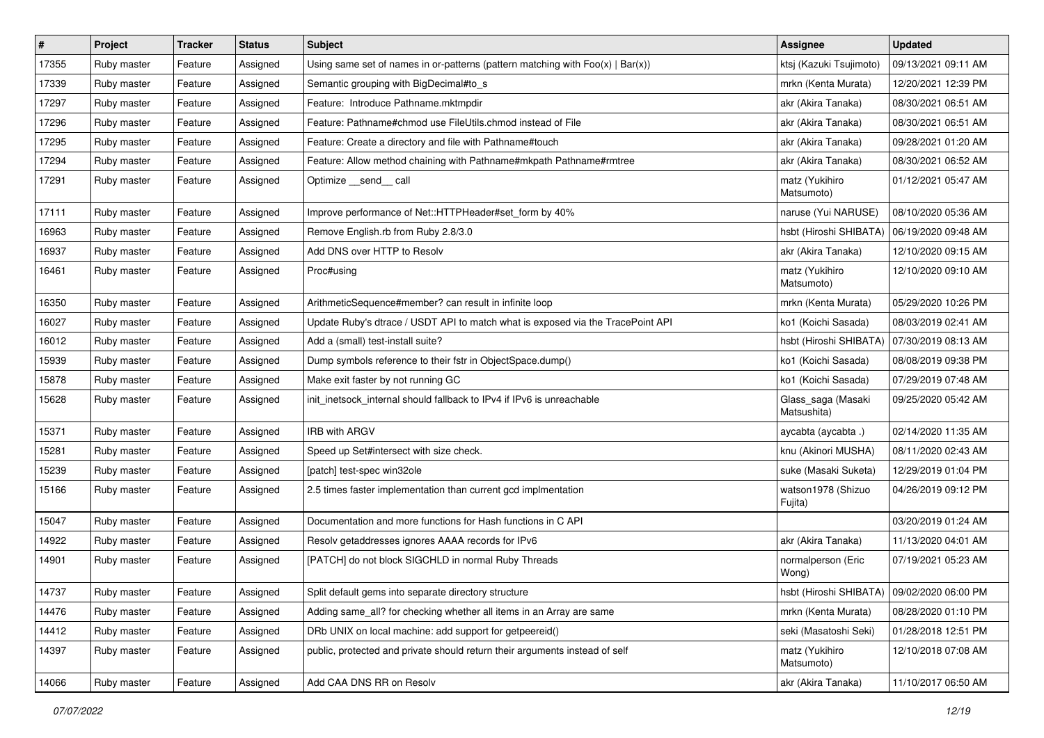| $\vert$ # | Project     | <b>Tracker</b> | <b>Status</b> | Subject                                                                           | Assignee                          | <b>Updated</b>      |
|-----------|-------------|----------------|---------------|-----------------------------------------------------------------------------------|-----------------------------------|---------------------|
| 17355     | Ruby master | Feature        | Assigned      | Using same set of names in or-patterns (pattern matching with $Foo(x)   Bar(x)$ ) | ktsj (Kazuki Tsujimoto)           | 09/13/2021 09:11 AM |
| 17339     | Ruby master | Feature        | Assigned      | Semantic grouping with BigDecimal#to_s                                            | mrkn (Kenta Murata)               | 12/20/2021 12:39 PM |
| 17297     | Ruby master | Feature        | Assigned      | Feature: Introduce Pathname.mktmpdir                                              | akr (Akira Tanaka)                | 08/30/2021 06:51 AM |
| 17296     | Ruby master | Feature        | Assigned      | Feature: Pathname#chmod use FileUtils.chmod instead of File                       | akr (Akira Tanaka)                | 08/30/2021 06:51 AM |
| 17295     | Ruby master | Feature        | Assigned      | Feature: Create a directory and file with Pathname#touch                          | akr (Akira Tanaka)                | 09/28/2021 01:20 AM |
| 17294     | Ruby master | Feature        | Assigned      | Feature: Allow method chaining with Pathname#mkpath Pathname#rmtree               | akr (Akira Tanaka)                | 08/30/2021 06:52 AM |
| 17291     | Ruby master | Feature        | Assigned      | Optimize __send__ call                                                            | matz (Yukihiro<br>Matsumoto)      | 01/12/2021 05:47 AM |
| 17111     | Ruby master | Feature        | Assigned      | Improve performance of Net::HTTPHeader#set_form by 40%                            | naruse (Yui NARUSE)               | 08/10/2020 05:36 AM |
| 16963     | Ruby master | Feature        | Assigned      | Remove English.rb from Ruby 2.8/3.0                                               | hsbt (Hiroshi SHIBATA)            | 06/19/2020 09:48 AM |
| 16937     | Ruby master | Feature        | Assigned      | Add DNS over HTTP to Resolv                                                       | akr (Akira Tanaka)                | 12/10/2020 09:15 AM |
| 16461     | Ruby master | Feature        | Assigned      | Proc#using                                                                        | matz (Yukihiro<br>Matsumoto)      | 12/10/2020 09:10 AM |
| 16350     | Ruby master | Feature        | Assigned      | ArithmeticSequence#member? can result in infinite loop                            | mrkn (Kenta Murata)               | 05/29/2020 10:26 PM |
| 16027     | Ruby master | Feature        | Assigned      | Update Ruby's dtrace / USDT API to match what is exposed via the TracePoint API   | ko1 (Koichi Sasada)               | 08/03/2019 02:41 AM |
| 16012     | Ruby master | Feature        | Assigned      | Add a (small) test-install suite?                                                 | hsbt (Hiroshi SHIBATA)            | 07/30/2019 08:13 AM |
| 15939     | Ruby master | Feature        | Assigned      | Dump symbols reference to their fstr in ObjectSpace.dump()                        | ko1 (Koichi Sasada)               | 08/08/2019 09:38 PM |
| 15878     | Ruby master | Feature        | Assigned      | Make exit faster by not running GC                                                | ko1 (Koichi Sasada)               | 07/29/2019 07:48 AM |
| 15628     | Ruby master | Feature        | Assigned      | init_inetsock_internal should fallback to IPv4 if IPv6 is unreachable             | Glass_saga (Masaki<br>Matsushita) | 09/25/2020 05:42 AM |
| 15371     | Ruby master | Feature        | Assigned      | IRB with ARGV                                                                     | aycabta (aycabta.)                | 02/14/2020 11:35 AM |
| 15281     | Ruby master | Feature        | Assigned      | Speed up Set#intersect with size check.                                           | knu (Akinori MUSHA)               | 08/11/2020 02:43 AM |
| 15239     | Ruby master | Feature        | Assigned      | [patch] test-spec win32ole                                                        | suke (Masaki Suketa)              | 12/29/2019 01:04 PM |
| 15166     | Ruby master | Feature        | Assigned      | 2.5 times faster implementation than current gcd implmentation                    | watson1978 (Shizuo<br>Fujita)     | 04/26/2019 09:12 PM |
| 15047     | Ruby master | Feature        | Assigned      | Documentation and more functions for Hash functions in C API                      |                                   | 03/20/2019 01:24 AM |
| 14922     | Ruby master | Feature        | Assigned      | Resolv getaddresses ignores AAAA records for IPv6                                 | akr (Akira Tanaka)                | 11/13/2020 04:01 AM |
| 14901     | Ruby master | Feature        | Assigned      | [PATCH] do not block SIGCHLD in normal Ruby Threads                               | normalperson (Eric<br>Wong)       | 07/19/2021 05:23 AM |
| 14737     | Ruby master | Feature        | Assigned      | Split default gems into separate directory structure                              | hsbt (Hiroshi SHIBATA)            | 09/02/2020 06:00 PM |
| 14476     | Ruby master | Feature        | Assigned      | Adding same_all? for checking whether all items in an Array are same              | mrkn (Kenta Murata)               | 08/28/2020 01:10 PM |
| 14412     | Ruby master | Feature        | Assigned      | DRb UNIX on local machine: add support for getpeereid()                           | seki (Masatoshi Seki)             | 01/28/2018 12:51 PM |
| 14397     | Ruby master | Feature        | Assigned      | public, protected and private should return their arguments instead of self       | matz (Yukihiro<br>Matsumoto)      | 12/10/2018 07:08 AM |
| 14066     | Ruby master | Feature        | Assigned      | Add CAA DNS RR on Resolv                                                          | akr (Akira Tanaka)                | 11/10/2017 06:50 AM |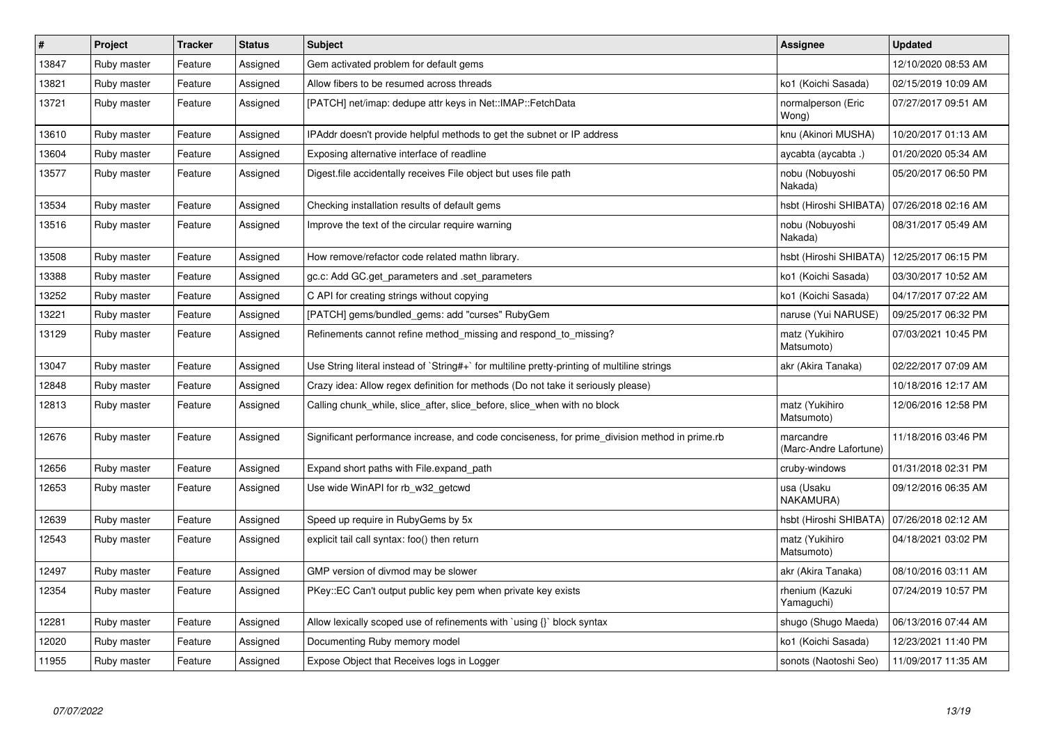| $\pmb{\#}$ | Project     | <b>Tracker</b> | <b>Status</b> | <b>Subject</b>                                                                                | Assignee                            | <b>Updated</b>      |
|------------|-------------|----------------|---------------|-----------------------------------------------------------------------------------------------|-------------------------------------|---------------------|
| 13847      | Ruby master | Feature        | Assigned      | Gem activated problem for default gems                                                        |                                     | 12/10/2020 08:53 AM |
| 13821      | Ruby master | Feature        | Assigned      | Allow fibers to be resumed across threads                                                     | ko1 (Koichi Sasada)                 | 02/15/2019 10:09 AM |
| 13721      | Ruby master | Feature        | Assigned      | [PATCH] net/imap: dedupe attr keys in Net::IMAP::FetchData                                    | normalperson (Eric<br>Wong)         | 07/27/2017 09:51 AM |
| 13610      | Ruby master | Feature        | Assigned      | IPAddr doesn't provide helpful methods to get the subnet or IP address                        | knu (Akinori MUSHA)                 | 10/20/2017 01:13 AM |
| 13604      | Ruby master | Feature        | Assigned      | Exposing alternative interface of readline                                                    | aycabta (aycabta.)                  | 01/20/2020 05:34 AM |
| 13577      | Ruby master | Feature        | Assigned      | Digest file accidentally receives File object but uses file path                              | nobu (Nobuyoshi<br>Nakada)          | 05/20/2017 06:50 PM |
| 13534      | Ruby master | Feature        | Assigned      | Checking installation results of default gems                                                 | hsbt (Hiroshi SHIBATA)              | 07/26/2018 02:16 AM |
| 13516      | Ruby master | Feature        | Assigned      | Improve the text of the circular require warning                                              | nobu (Nobuyoshi<br>Nakada)          | 08/31/2017 05:49 AM |
| 13508      | Ruby master | Feature        | Assigned      | How remove/refactor code related mathn library.                                               | hsbt (Hiroshi SHIBATA)              | 12/25/2017 06:15 PM |
| 13388      | Ruby master | Feature        | Assigned      | gc.c: Add GC.get parameters and set parameters                                                | ko1 (Koichi Sasada)                 | 03/30/2017 10:52 AM |
| 13252      | Ruby master | Feature        | Assigned      | C API for creating strings without copying                                                    | ko1 (Koichi Sasada)                 | 04/17/2017 07:22 AM |
| 13221      | Ruby master | Feature        | Assigned      | [PATCH] gems/bundled_gems: add "curses" RubyGem                                               | naruse (Yui NARUSE)                 | 09/25/2017 06:32 PM |
| 13129      | Ruby master | Feature        | Assigned      | Refinements cannot refine method missing and respond to missing?                              | matz (Yukihiro<br>Matsumoto)        | 07/03/2021 10:45 PM |
| 13047      | Ruby master | Feature        | Assigned      | Use String literal instead of `String#+` for multiline pretty-printing of multiline strings   | akr (Akira Tanaka)                  | 02/22/2017 07:09 AM |
| 12848      | Ruby master | Feature        | Assigned      | Crazy idea: Allow regex definition for methods (Do not take it seriously please)              |                                     | 10/18/2016 12:17 AM |
| 12813      | Ruby master | Feature        | Assigned      | Calling chunk_while, slice_after, slice_before, slice_when with no block                      | matz (Yukihiro<br>Matsumoto)        | 12/06/2016 12:58 PM |
| 12676      | Ruby master | Feature        | Assigned      | Significant performance increase, and code conciseness, for prime_division method in prime.rb | marcandre<br>(Marc-Andre Lafortune) | 11/18/2016 03:46 PM |
| 12656      | Ruby master | Feature        | Assigned      | Expand short paths with File.expand path                                                      | cruby-windows                       | 01/31/2018 02:31 PM |
| 12653      | Ruby master | Feature        | Assigned      | Use wide WinAPI for rb_w32_getcwd                                                             | usa (Usaku<br>NAKAMURA)             | 09/12/2016 06:35 AM |
| 12639      | Ruby master | Feature        | Assigned      | Speed up require in RubyGems by 5x                                                            | hsbt (Hiroshi SHIBATA)              | 07/26/2018 02:12 AM |
| 12543      | Ruby master | Feature        | Assigned      | explicit tail call syntax: foo() then return                                                  | matz (Yukihiro<br>Matsumoto)        | 04/18/2021 03:02 PM |
| 12497      | Ruby master | Feature        | Assigned      | GMP version of divmod may be slower                                                           | akr (Akira Tanaka)                  | 08/10/2016 03:11 AM |
| 12354      | Ruby master | Feature        | Assigned      | PKey::EC Can't output public key pem when private key exists                                  | rhenium (Kazuki<br>Yamaguchi)       | 07/24/2019 10:57 PM |
| 12281      | Ruby master | Feature        | Assigned      | Allow lexically scoped use of refinements with `using {}` block syntax                        | shugo (Shugo Maeda)                 | 06/13/2016 07:44 AM |
| 12020      | Ruby master | Feature        | Assigned      | Documenting Ruby memory model                                                                 | ko1 (Koichi Sasada)                 | 12/23/2021 11:40 PM |
| 11955      | Ruby master | Feature        | Assigned      | Expose Object that Receives logs in Logger                                                    | sonots (Naotoshi Seo)               | 11/09/2017 11:35 AM |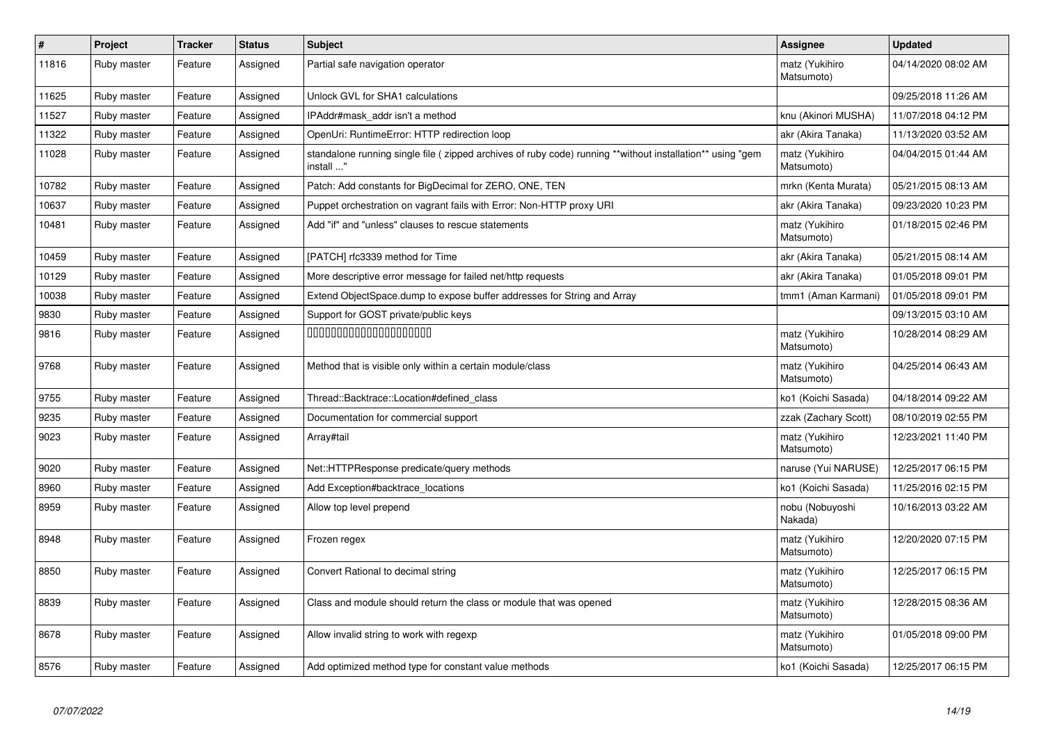| $\pmb{\#}$ | Project     | <b>Tracker</b> | <b>Status</b> | <b>Subject</b>                                                                                                         | Assignee                     | <b>Updated</b>      |
|------------|-------------|----------------|---------------|------------------------------------------------------------------------------------------------------------------------|------------------------------|---------------------|
| 11816      | Ruby master | Feature        | Assigned      | Partial safe navigation operator                                                                                       | matz (Yukihiro<br>Matsumoto) | 04/14/2020 08:02 AM |
| 11625      | Ruby master | Feature        | Assigned      | Unlock GVL for SHA1 calculations                                                                                       |                              | 09/25/2018 11:26 AM |
| 11527      | Ruby master | Feature        | Assigned      | IPAddr#mask addr isn't a method                                                                                        | knu (Akinori MUSHA)          | 11/07/2018 04:12 PM |
| 11322      | Ruby master | Feature        | Assigned      | OpenUri: RuntimeError: HTTP redirection loop                                                                           | akr (Akira Tanaka)           | 11/13/2020 03:52 AM |
| 11028      | Ruby master | Feature        | Assigned      | standalone running single file (zipped archives of ruby code) running **without installation** using "gem<br>install " | matz (Yukihiro<br>Matsumoto) | 04/04/2015 01:44 AM |
| 10782      | Ruby master | Feature        | Assigned      | Patch: Add constants for BigDecimal for ZERO, ONE, TEN                                                                 | mrkn (Kenta Murata)          | 05/21/2015 08:13 AM |
| 10637      | Ruby master | Feature        | Assigned      | Puppet orchestration on vagrant fails with Error: Non-HTTP proxy URI                                                   | akr (Akira Tanaka)           | 09/23/2020 10:23 PM |
| 10481      | Ruby master | Feature        | Assigned      | Add "if" and "unless" clauses to rescue statements                                                                     | matz (Yukihiro<br>Matsumoto) | 01/18/2015 02:46 PM |
| 10459      | Ruby master | Feature        | Assigned      | [PATCH] rfc3339 method for Time                                                                                        | akr (Akira Tanaka)           | 05/21/2015 08:14 AM |
| 10129      | Ruby master | Feature        | Assigned      | More descriptive error message for failed net/http requests                                                            | akr (Akira Tanaka)           | 01/05/2018 09:01 PM |
| 10038      | Ruby master | Feature        | Assigned      | Extend ObjectSpace.dump to expose buffer addresses for String and Array                                                | tmm1 (Aman Karmani)          | 01/05/2018 09:01 PM |
| 9830       | Ruby master | Feature        | Assigned      | Support for GOST private/public keys                                                                                   |                              | 09/13/2015 03:10 AM |
| 9816       | Ruby master | Feature        | Assigned      | 00000000000000000000                                                                                                   | matz (Yukihiro<br>Matsumoto) | 10/28/2014 08:29 AM |
| 9768       | Ruby master | Feature        | Assigned      | Method that is visible only within a certain module/class                                                              | matz (Yukihiro<br>Matsumoto) | 04/25/2014 06:43 AM |
| 9755       | Ruby master | Feature        | Assigned      | Thread::Backtrace::Location#defined class                                                                              | ko1 (Koichi Sasada)          | 04/18/2014 09:22 AM |
| 9235       | Ruby master | Feature        | Assigned      | Documentation for commercial support                                                                                   | zzak (Zachary Scott)         | 08/10/2019 02:55 PM |
| 9023       | Ruby master | Feature        | Assigned      | Array#tail                                                                                                             | matz (Yukihiro<br>Matsumoto) | 12/23/2021 11:40 PM |
| 9020       | Ruby master | Feature        | Assigned      | Net::HTTPResponse predicate/query methods                                                                              | naruse (Yui NARUSE)          | 12/25/2017 06:15 PM |
| 8960       | Ruby master | Feature        | Assigned      | Add Exception#backtrace locations                                                                                      | ko1 (Koichi Sasada)          | 11/25/2016 02:15 PM |
| 8959       | Ruby master | Feature        | Assigned      | Allow top level prepend                                                                                                | nobu (Nobuyoshi<br>Nakada)   | 10/16/2013 03:22 AM |
| 8948       | Ruby master | Feature        | Assigned      | Frozen regex                                                                                                           | matz (Yukihiro<br>Matsumoto) | 12/20/2020 07:15 PM |
| 8850       | Ruby master | Feature        | Assigned      | Convert Rational to decimal string                                                                                     | matz (Yukihiro<br>Matsumoto) | 12/25/2017 06:15 PM |
| 8839       | Ruby master | Feature        | Assigned      | Class and module should return the class or module that was opened                                                     | matz (Yukihiro<br>Matsumoto) | 12/28/2015 08:36 AM |
| 8678       | Ruby master | Feature        | Assigned      | Allow invalid string to work with regexp                                                                               | matz (Yukihiro<br>Matsumoto) | 01/05/2018 09:00 PM |
| 8576       | Ruby master | Feature        | Assigned      | Add optimized method type for constant value methods                                                                   | ko1 (Koichi Sasada)          | 12/25/2017 06:15 PM |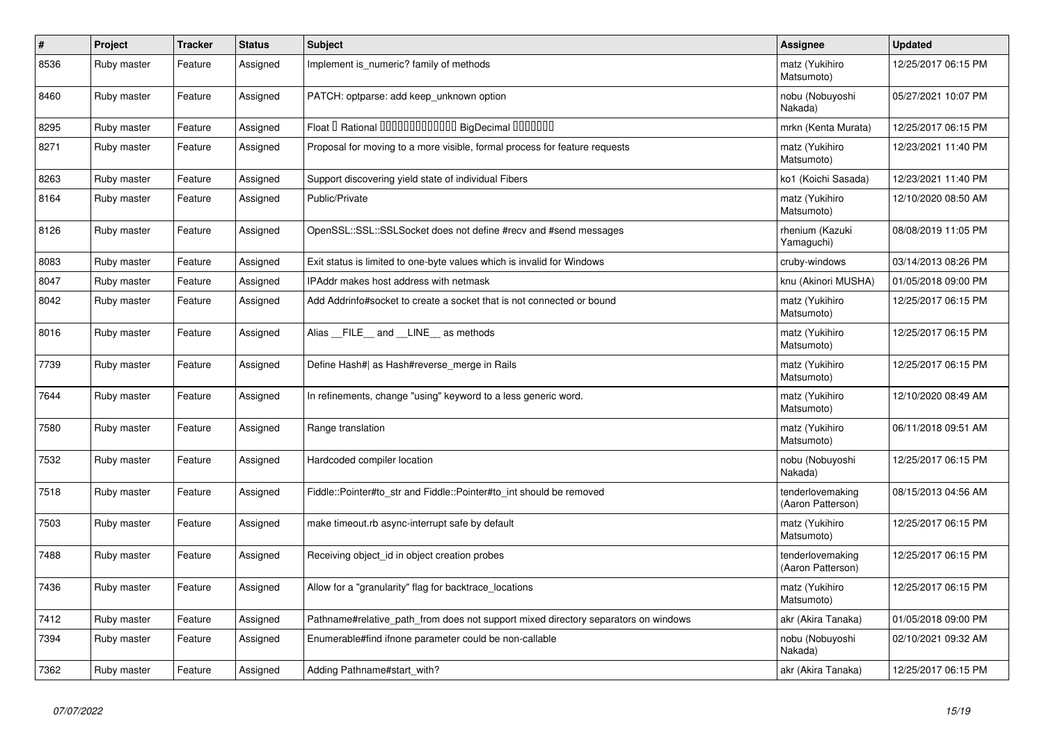| $\sharp$ | Project     | <b>Tracker</b> | <b>Status</b> | <b>Subject</b>                                                                     | Assignee                              | <b>Updated</b>      |
|----------|-------------|----------------|---------------|------------------------------------------------------------------------------------|---------------------------------------|---------------------|
| 8536     | Ruby master | Feature        | Assigned      | Implement is numeric? family of methods                                            | matz (Yukihiro<br>Matsumoto)          | 12/25/2017 06:15 PM |
| 8460     | Ruby master | Feature        | Assigned      | PATCH: optparse: add keep_unknown option                                           | nobu (Nobuyoshi<br>Nakada)            | 05/27/2021 10:07 PM |
| 8295     | Ruby master | Feature        | Assigned      | Float I Rational 0000000000000 BigDecimal 0000000                                  | mrkn (Kenta Murata)                   | 12/25/2017 06:15 PM |
| 8271     | Ruby master | Feature        | Assigned      | Proposal for moving to a more visible, formal process for feature requests         | matz (Yukihiro<br>Matsumoto)          | 12/23/2021 11:40 PM |
| 8263     | Ruby master | Feature        | Assigned      | Support discovering yield state of individual Fibers                               | ko1 (Koichi Sasada)                   | 12/23/2021 11:40 PM |
| 8164     | Ruby master | Feature        | Assigned      | Public/Private                                                                     | matz (Yukihiro<br>Matsumoto)          | 12/10/2020 08:50 AM |
| 8126     | Ruby master | Feature        | Assigned      | OpenSSL::SSL::SSLSocket does not define #recv and #send messages                   | rhenium (Kazuki<br>Yamaguchi)         | 08/08/2019 11:05 PM |
| 8083     | Ruby master | Feature        | Assigned      | Exit status is limited to one-byte values which is invalid for Windows             | cruby-windows                         | 03/14/2013 08:26 PM |
| 8047     | Ruby master | Feature        | Assigned      | <b>IPAddr makes host address with netmask</b>                                      | knu (Akinori MUSHA)                   | 01/05/2018 09:00 PM |
| 8042     | Ruby master | Feature        | Assigned      | Add Addrinfo#socket to create a socket that is not connected or bound              | matz (Yukihiro<br>Matsumoto)          | 12/25/2017 06:15 PM |
| 8016     | Ruby master | Feature        | Assigned      | Alias FILE and LINE as methods                                                     | matz (Yukihiro<br>Matsumoto)          | 12/25/2017 06:15 PM |
| 7739     | Ruby master | Feature        | Assigned      | Define Hash#  as Hash#reverse_merge in Rails                                       | matz (Yukihiro<br>Matsumoto)          | 12/25/2017 06:15 PM |
| 7644     | Ruby master | Feature        | Assigned      | In refinements, change "using" keyword to a less generic word.                     | matz (Yukihiro<br>Matsumoto)          | 12/10/2020 08:49 AM |
| 7580     | Ruby master | Feature        | Assigned      | Range translation                                                                  | matz (Yukihiro<br>Matsumoto)          | 06/11/2018 09:51 AM |
| 7532     | Ruby master | Feature        | Assigned      | Hardcoded compiler location                                                        | nobu (Nobuyoshi<br>Nakada)            | 12/25/2017 06:15 PM |
| 7518     | Ruby master | Feature        | Assigned      | Fiddle::Pointer#to_str and Fiddle::Pointer#to_int should be removed                | tenderlovemaking<br>(Aaron Patterson) | 08/15/2013 04:56 AM |
| 7503     | Ruby master | Feature        | Assigned      | make timeout rb async-interrupt safe by default                                    | matz (Yukihiro<br>Matsumoto)          | 12/25/2017 06:15 PM |
| 7488     | Ruby master | Feature        | Assigned      | Receiving object_id in object creation probes                                      | tenderlovemaking<br>(Aaron Patterson) | 12/25/2017 06:15 PM |
| 7436     | Ruby master | Feature        | Assigned      | Allow for a "granularity" flag for backtrace_locations                             | matz (Yukihiro<br>Matsumoto)          | 12/25/2017 06:15 PM |
| 7412     | Ruby master | Feature        | Assigned      | Pathname#relative_path_from does not support mixed directory separators on windows | akr (Akira Tanaka)                    | 01/05/2018 09:00 PM |
| 7394     | Ruby master | Feature        | Assigned      | Enumerable#find ifnone parameter could be non-callable                             | nobu (Nobuyoshi<br>Nakada)            | 02/10/2021 09:32 AM |
| 7362     | Ruby master | Feature        | Assigned      | Adding Pathname#start with?                                                        | akr (Akira Tanaka)                    | 12/25/2017 06:15 PM |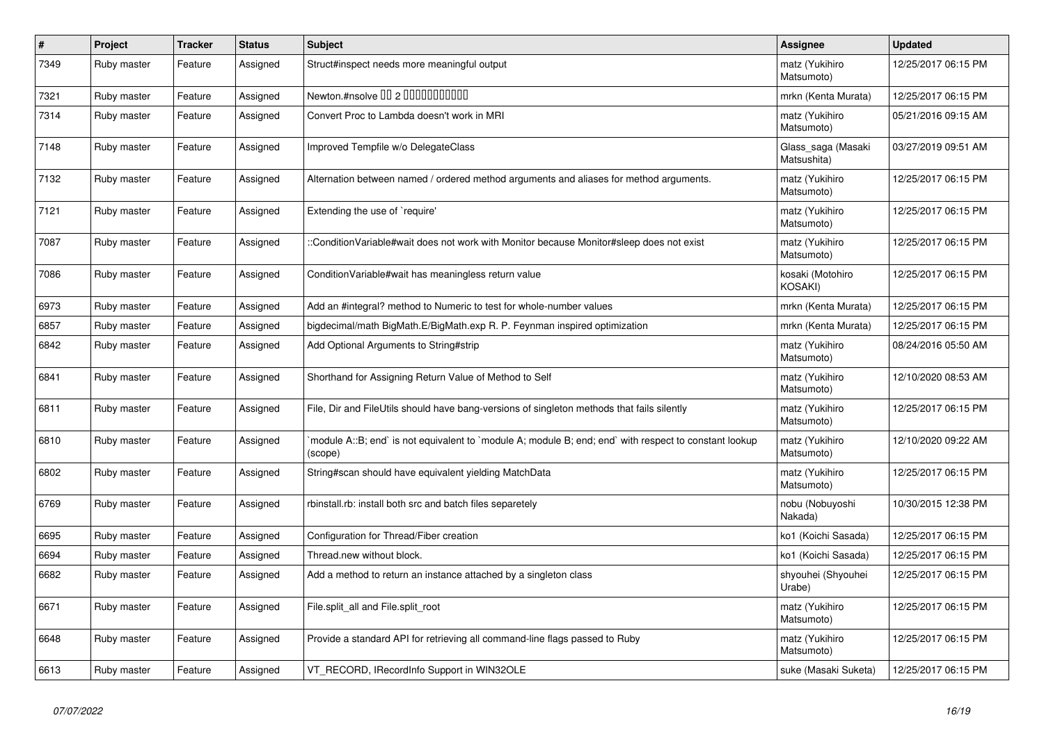| $\pmb{\sharp}$ | Project     | <b>Tracker</b> | <b>Status</b> | <b>Subject</b>                                                                                                   | Assignee                           | <b>Updated</b>      |
|----------------|-------------|----------------|---------------|------------------------------------------------------------------------------------------------------------------|------------------------------------|---------------------|
| 7349           | Ruby master | Feature        | Assigned      | Struct#inspect needs more meaningful output                                                                      | matz (Yukihiro<br>Matsumoto)       | 12/25/2017 06:15 PM |
| 7321           | Ruby master | Feature        | Assigned      | Newton.#nsolve 00 2 0000000000                                                                                   | mrkn (Kenta Murata)                | 12/25/2017 06:15 PM |
| 7314           | Ruby master | Feature        | Assigned      | Convert Proc to Lambda doesn't work in MRI                                                                       | matz (Yukihiro<br>Matsumoto)       | 05/21/2016 09:15 AM |
| 7148           | Ruby master | Feature        | Assigned      | Improved Tempfile w/o DelegateClass                                                                              | Glass saga (Masaki<br>Matsushita)  | 03/27/2019 09:51 AM |
| 7132           | Ruby master | Feature        | Assigned      | Alternation between named / ordered method arguments and aliases for method arguments.                           | matz (Yukihiro<br>Matsumoto)       | 12/25/2017 06:15 PM |
| 7121           | Ruby master | Feature        | Assigned      | Extending the use of `require'                                                                                   | matz (Yukihiro<br>Matsumoto)       | 12/25/2017 06:15 PM |
| 7087           | Ruby master | Feature        | Assigned      | :ConditionVariable#wait does not work with Monitor because Monitor#sleep does not exist                          | matz (Yukihiro<br>Matsumoto)       | 12/25/2017 06:15 PM |
| 7086           | Ruby master | Feature        | Assigned      | Condition Variable#wait has meaningless return value                                                             | kosaki (Motohiro<br><b>KOSAKI)</b> | 12/25/2017 06:15 PM |
| 6973           | Ruby master | Feature        | Assigned      | Add an #integral? method to Numeric to test for whole-number values                                              | mrkn (Kenta Murata)                | 12/25/2017 06:15 PM |
| 6857           | Ruby master | Feature        | Assigned      | bigdecimal/math BigMath.E/BigMath.exp R. P. Feynman inspired optimization                                        | mrkn (Kenta Murata)                | 12/25/2017 06:15 PM |
| 6842           | Ruby master | Feature        | Assigned      | Add Optional Arguments to String#strip                                                                           | matz (Yukihiro<br>Matsumoto)       | 08/24/2016 05:50 AM |
| 6841           | Ruby master | Feature        | Assigned      | Shorthand for Assigning Return Value of Method to Self                                                           | matz (Yukihiro<br>Matsumoto)       | 12/10/2020 08:53 AM |
| 6811           | Ruby master | Feature        | Assigned      | File, Dir and FileUtils should have bang-versions of singleton methods that fails silently                       | matz (Yukihiro<br>Matsumoto)       | 12/25/2017 06:15 PM |
| 6810           | Ruby master | Feature        | Assigned      | module A::B; end` is not equivalent to `module A; module B; end; end` with respect to constant lookup<br>(scope) | matz (Yukihiro<br>Matsumoto)       | 12/10/2020 09:22 AM |
| 6802           | Ruby master | Feature        | Assigned      | String#scan should have equivalent yielding MatchData                                                            | matz (Yukihiro<br>Matsumoto)       | 12/25/2017 06:15 PM |
| 6769           | Ruby master | Feature        | Assigned      | rbinstall.rb: install both src and batch files separetely                                                        | nobu (Nobuyoshi<br>Nakada)         | 10/30/2015 12:38 PM |
| 6695           | Ruby master | Feature        | Assigned      | Configuration for Thread/Fiber creation                                                                          | ko1 (Koichi Sasada)                | 12/25/2017 06:15 PM |
| 6694           | Ruby master | Feature        | Assigned      | Thread.new without block.                                                                                        | ko1 (Koichi Sasada)                | 12/25/2017 06:15 PM |
| 6682           | Ruby master | Feature        | Assigned      | Add a method to return an instance attached by a singleton class                                                 | shyouhei (Shyouhei<br>Urabe)       | 12/25/2017 06:15 PM |
| 6671           | Ruby master | Feature        | Assigned      | File.split all and File.split root                                                                               | matz (Yukihiro<br>Matsumoto)       | 12/25/2017 06:15 PM |
| 6648           | Ruby master | Feature        | Assigned      | Provide a standard API for retrieving all command-line flags passed to Ruby                                      | matz (Yukihiro<br>Matsumoto)       | 12/25/2017 06:15 PM |
| 6613           | Ruby master | Feature        | Assigned      | VT RECORD, IRecordInfo Support in WIN32OLE                                                                       | suke (Masaki Suketa)               | 12/25/2017 06:15 PM |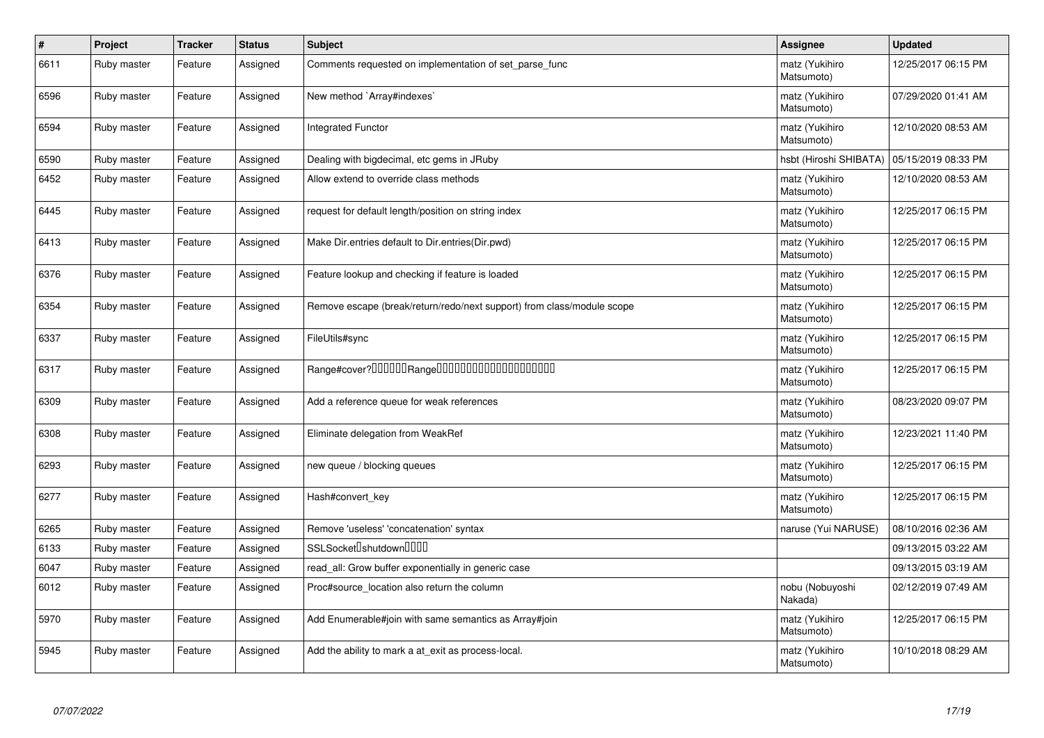| $\pmb{\#}$ | Project     | <b>Tracker</b> | <b>Status</b> | <b>Subject</b>                                                         | Assignee                     | <b>Updated</b>      |
|------------|-------------|----------------|---------------|------------------------------------------------------------------------|------------------------------|---------------------|
| 6611       | Ruby master | Feature        | Assigned      | Comments requested on implementation of set parse func                 | matz (Yukihiro<br>Matsumoto) | 12/25/2017 06:15 PM |
| 6596       | Ruby master | Feature        | Assigned      | New method `Array#indexes`                                             | matz (Yukihiro<br>Matsumoto) | 07/29/2020 01:41 AM |
| 6594       | Ruby master | Feature        | Assigned      | <b>Integrated Functor</b>                                              | matz (Yukihiro<br>Matsumoto) | 12/10/2020 08:53 AM |
| 6590       | Ruby master | Feature        | Assigned      | Dealing with bigdecimal, etc gems in JRuby                             | hsbt (Hiroshi SHIBATA)       | 05/15/2019 08:33 PM |
| 6452       | Ruby master | Feature        | Assigned      | Allow extend to override class methods                                 | matz (Yukihiro<br>Matsumoto) | 12/10/2020 08:53 AM |
| 6445       | Ruby master | Feature        | Assigned      | request for default length/position on string index                    | matz (Yukihiro<br>Matsumoto) | 12/25/2017 06:15 PM |
| 6413       | Ruby master | Feature        | Assigned      | Make Dir.entries default to Dir.entries(Dir.pwd)                       | matz (Yukihiro<br>Matsumoto) | 12/25/2017 06:15 PM |
| 6376       | Ruby master | Feature        | Assigned      | Feature lookup and checking if feature is loaded                       | matz (Yukihiro<br>Matsumoto) | 12/25/2017 06:15 PM |
| 6354       | Ruby master | Feature        | Assigned      | Remove escape (break/return/redo/next support) from class/module scope | matz (Yukihiro<br>Matsumoto) | 12/25/2017 06:15 PM |
| 6337       | Ruby master | Feature        | Assigned      | FileUtils#sync                                                         | matz (Yukihiro<br>Matsumoto) | 12/25/2017 06:15 PM |
| 6317       | Ruby master | Feature        | Assigned      | Range#cover?000000Range00000000000000000000                            | matz (Yukihiro<br>Matsumoto) | 12/25/2017 06:15 PM |
| 6309       | Ruby master | Feature        | Assigned      | Add a reference queue for weak references                              | matz (Yukihiro<br>Matsumoto) | 08/23/2020 09:07 PM |
| 6308       | Ruby master | Feature        | Assigned      | Eliminate delegation from WeakRef                                      | matz (Yukihiro<br>Matsumoto) | 12/23/2021 11:40 PM |
| 6293       | Ruby master | Feature        | Assigned      | new queue / blocking queues                                            | matz (Yukihiro<br>Matsumoto) | 12/25/2017 06:15 PM |
| 6277       | Ruby master | Feature        | Assigned      | Hash#convert_key                                                       | matz (Yukihiro<br>Matsumoto) | 12/25/2017 06:15 PM |
| 6265       | Ruby master | Feature        | Assigned      | Remove 'useless' 'concatenation' syntax                                | naruse (Yui NARUSE)          | 08/10/2016 02:36 AM |
| 6133       | Ruby master | Feature        | Assigned      | SSLSocket <sup>[</sup> shutdown <sup>[11]</sup>                        |                              | 09/13/2015 03:22 AM |
| 6047       | Ruby master | Feature        | Assigned      | read all: Grow buffer exponentially in generic case                    |                              | 09/13/2015 03:19 AM |
| 6012       | Ruby master | Feature        | Assigned      | Proc#source location also return the column                            | nobu (Nobuyoshi<br>Nakada)   | 02/12/2019 07:49 AM |
| 5970       | Ruby master | Feature        | Assigned      | Add Enumerable#join with same semantics as Array#join                  | matz (Yukihiro<br>Matsumoto) | 12/25/2017 06:15 PM |
| 5945       | Ruby master | Feature        | Assigned      | Add the ability to mark a at_exit as process-local.                    | matz (Yukihiro<br>Matsumoto) | 10/10/2018 08:29 AM |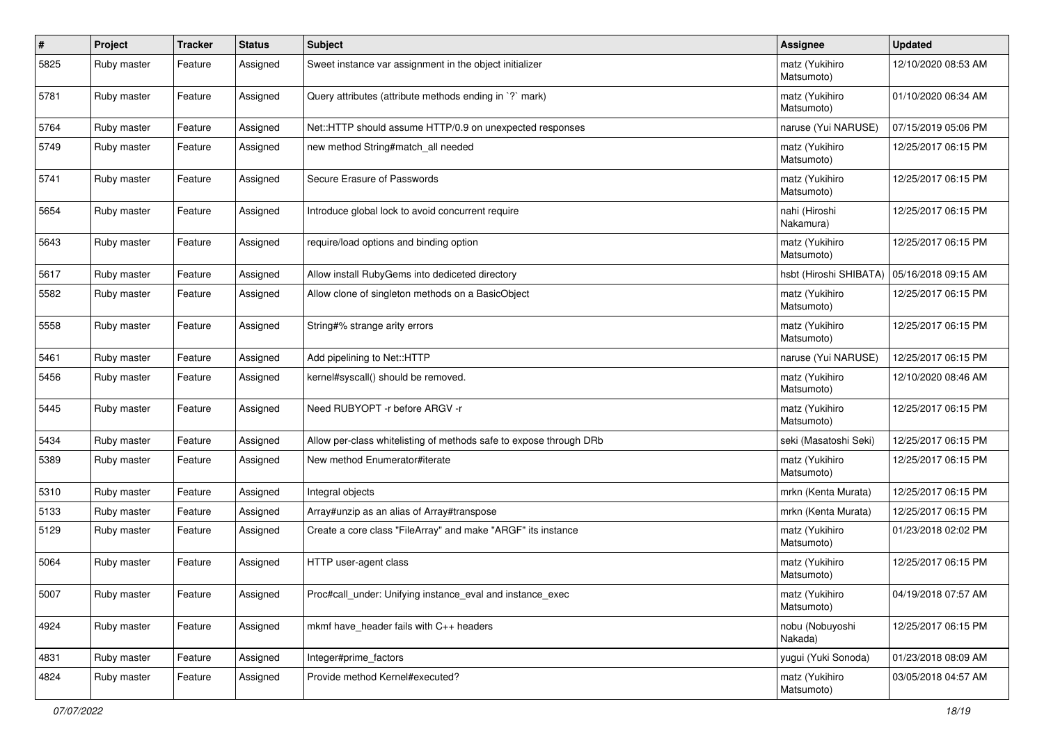| $\pmb{\#}$ | Project     | <b>Tracker</b> | <b>Status</b> | <b>Subject</b>                                                     | <b>Assignee</b>              | <b>Updated</b>      |
|------------|-------------|----------------|---------------|--------------------------------------------------------------------|------------------------------|---------------------|
| 5825       | Ruby master | Feature        | Assigned      | Sweet instance var assignment in the object initializer            | matz (Yukihiro<br>Matsumoto) | 12/10/2020 08:53 AM |
| 5781       | Ruby master | Feature        | Assigned      | Query attributes (attribute methods ending in `?` mark)            | matz (Yukihiro<br>Matsumoto) | 01/10/2020 06:34 AM |
| 5764       | Ruby master | Feature        | Assigned      | Net::HTTP should assume HTTP/0.9 on unexpected responses           | naruse (Yui NARUSE)          | 07/15/2019 05:06 PM |
| 5749       | Ruby master | Feature        | Assigned      | new method String#match_all needed                                 | matz (Yukihiro<br>Matsumoto) | 12/25/2017 06:15 PM |
| 5741       | Ruby master | Feature        | Assigned      | Secure Erasure of Passwords                                        | matz (Yukihiro<br>Matsumoto) | 12/25/2017 06:15 PM |
| 5654       | Ruby master | Feature        | Assigned      | Introduce global lock to avoid concurrent require                  | nahi (Hiroshi<br>Nakamura)   | 12/25/2017 06:15 PM |
| 5643       | Ruby master | Feature        | Assigned      | require/load options and binding option                            | matz (Yukihiro<br>Matsumoto) | 12/25/2017 06:15 PM |
| 5617       | Ruby master | Feature        | Assigned      | Allow install RubyGems into dediceted directory                    | hsbt (Hiroshi SHIBATA)       | 05/16/2018 09:15 AM |
| 5582       | Ruby master | Feature        | Assigned      | Allow clone of singleton methods on a BasicObject                  | matz (Yukihiro<br>Matsumoto) | 12/25/2017 06:15 PM |
| 5558       | Ruby master | Feature        | Assigned      | String#% strange arity errors                                      | matz (Yukihiro<br>Matsumoto) | 12/25/2017 06:15 PM |
| 5461       | Ruby master | Feature        | Assigned      | Add pipelining to Net::HTTP                                        | naruse (Yui NARUSE)          | 12/25/2017 06:15 PM |
| 5456       | Ruby master | Feature        | Assigned      | kernel#syscall() should be removed.                                | matz (Yukihiro<br>Matsumoto) | 12/10/2020 08:46 AM |
| 5445       | Ruby master | Feature        | Assigned      | Need RUBYOPT - r before ARGV - r                                   | matz (Yukihiro<br>Matsumoto) | 12/25/2017 06:15 PM |
| 5434       | Ruby master | Feature        | Assigned      | Allow per-class whitelisting of methods safe to expose through DRb | seki (Masatoshi Seki)        | 12/25/2017 06:15 PM |
| 5389       | Ruby master | Feature        | Assigned      | New method Enumerator#iterate                                      | matz (Yukihiro<br>Matsumoto) | 12/25/2017 06:15 PM |
| 5310       | Ruby master | Feature        | Assigned      | Integral objects                                                   | mrkn (Kenta Murata)          | 12/25/2017 06:15 PM |
| 5133       | Ruby master | Feature        | Assigned      | Array#unzip as an alias of Array#transpose                         | mrkn (Kenta Murata)          | 12/25/2017 06:15 PM |
| 5129       | Ruby master | Feature        | Assigned      | Create a core class "FileArray" and make "ARGF" its instance       | matz (Yukihiro<br>Matsumoto) | 01/23/2018 02:02 PM |
| 5064       | Ruby master | Feature        | Assigned      | HTTP user-agent class                                              | matz (Yukihiro<br>Matsumoto) | 12/25/2017 06:15 PM |
| 5007       | Ruby master | Feature        | Assigned      | Proc#call_under: Unifying instance_eval and instance_exec          | matz (Yukihiro<br>Matsumoto) | 04/19/2018 07:57 AM |
| 4924       | Ruby master | Feature        | Assigned      | mkmf have_header fails with C++ headers                            | nobu (Nobuyoshi<br>Nakada)   | 12/25/2017 06:15 PM |
| 4831       | Ruby master | Feature        | Assigned      | Integer#prime_factors                                              | yugui (Yuki Sonoda)          | 01/23/2018 08:09 AM |
| 4824       | Ruby master | Feature        | Assigned      | Provide method Kernel#executed?                                    | matz (Yukihiro<br>Matsumoto) | 03/05/2018 04:57 AM |